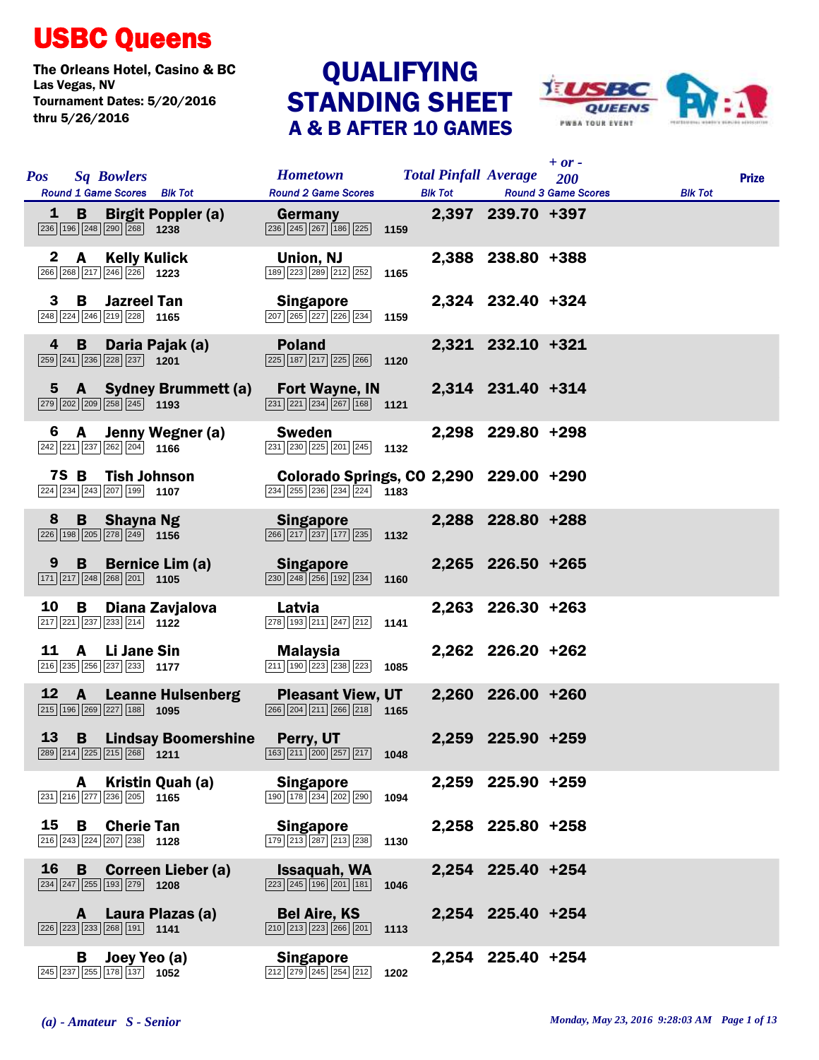## USBC Queens

The Orleans Hotel, Casino & BC<br>Las Vegas, NV<br>
QUALIFYING Tournament Dates: 5/20/2016 thru 5/26/2016

## QUALIFYING<br>STANDING SHEET A & B AFTER 10 GAMES



| <b>Pos</b> |   | <b>Sq Bowlers</b>                                                                      |                                                                                                   | Hometown Total Pinfall Average 200                                                                                   |      |                   | $+$ or $-$                         |                | <b>Prize</b> |
|------------|---|----------------------------------------------------------------------------------------|---------------------------------------------------------------------------------------------------|----------------------------------------------------------------------------------------------------------------------|------|-------------------|------------------------------------|----------------|--------------|
|            |   |                                                                                        | Round 1 Game Scores Blk Tot                                                                       | <b>Round 2 Game Scores</b>                                                                                           |      |                   | <b>Blk Tot Round 3 Game Scores</b> | <b>Blk Tot</b> |              |
|            |   | $\overline{236}$ 196 $\overline{248}$ $\overline{290}$ $\overline{268}$ 1238           | <b>1 B Birgit Poppler (a)</b>                                                                     | <b>Germany Series</b><br>$\boxed{236}\boxed{245}\boxed{267}\boxed{186}\boxed{225}$ 1159                              |      | 2,397 239.70 +397 |                                    |                |              |
|            |   | $\boxed{266}\boxed{268}\boxed{217}\boxed{246}\boxed{226}$ 1223                         | 2 A Kelly Kulick                                                                                  | Union, NJ<br>$\boxed{189}$ $\boxed{223}$ $\boxed{289}$ $\boxed{212}$ $\boxed{252}$                                   | 1165 | 2,388 238.80 +388 |                                    |                |              |
|            |   | 3 B Jazreel Tan<br>248 224 246 219 228 1165                                            |                                                                                                   | Singapore<br>$\boxed{207}$ $\boxed{265}$ $\boxed{227}$ $\boxed{226}$ $\boxed{234}$ 1159                              |      | 2,324 232.40 +324 |                                    |                |              |
|            | 4 | 259 241 236 228 237 1201                                                               | <b>B</b> Daria Pajak (a)                                                                          | <b>Poland</b><br>$\sqrt{225}$ 187 $\sqrt{217}$ $\sqrt{225}$ $\sqrt{266}$ 1120                                        |      | 2,321 232.10 +321 |                                    |                |              |
|            |   | $\boxed{279}$ $\boxed{202}$ $\boxed{209}$ $\boxed{258}$ $\boxed{245}$ 1193             |                                                                                                   | 5 A Sydney Brummett (a) Fort Wayne, IN<br>$\boxed{231}$ $\boxed{221}$ $\boxed{234}$ $\boxed{267}$ $\boxed{168}$ 1121 |      | 2,314 231.40 +314 |                                    |                |              |
|            |   | $\boxed{242}\boxed{221}\boxed{237}\boxed{262}\boxed{204}$ 1166                         | 6 A Jenny Wegner (a)                                                                              | <b>Sweden</b><br>$\boxed{231}$ $\boxed{230}$ $\boxed{225}$ $\boxed{201}$ $\boxed{245}$ 1132                          |      | 2,298 229.80 +298 |                                    |                |              |
|            |   | 224 234 243 207 199 1107                                                               | 7S B Tish Johnson                                                                                 | Colorado Springs, CO 2,290 229.00 +290<br>234 255 236 234 224 1183                                                   |      |                   |                                    |                |              |
| 8          |   | <b>B</b> Shayna Ng<br>$\boxed{226}$ 198 $\boxed{205}$ $\boxed{278}$ $\boxed{249}$ 1156 |                                                                                                   | <b>Singapore</b><br>266 217 237 177 235 1132                                                                         |      | 2,288 228.80 +288 |                                    |                |              |
|            |   | $\boxed{171}$ $\boxed{217}$ $\boxed{248}$ $\boxed{268}$ $\boxed{201}$ <b>1105</b>      | 9 B Bernice Lim (a)                                                                               | Singapore<br>$\overline{ 230   248   256   192   234 }$ 1160                                                         |      | 2,265 226.50 +265 |                                    |                |              |
| 10         |   | $\boxed{217}$ $\boxed{221}$ $\boxed{237}$ $\boxed{233}$ $\boxed{214}$ <b>1122</b>      | <b>B</b> Diana Zavjalova                                                                          | Latvia<br>$\boxed{278}$ 193 211 247 212 1141                                                                         |      | 2,263 226.30 +263 |                                    |                |              |
|            |   | 11 A Li Jane Sin<br>216 235 256 237 233 1177                                           |                                                                                                   | Malaysia<br>$\boxed{211}$ $\boxed{190}$ $\boxed{223}$ $\boxed{238}$ $\boxed{223}$                                    | 1085 | 2,262 226.20 +262 |                                    |                |              |
|            |   | $\boxed{215}$ $\boxed{196}$ $\boxed{269}$ $\boxed{227}$ $\boxed{188}$ 1095             | 12 A Leanne Hulsenberg                                                                            | <b>Pleasant View, UT</b><br>$\overline{ 266   204   211   266   218 }$ 1165                                          |      | 2,260 226.00 +260 |                                    |                |              |
|            |   |                                                                                        | <b>13 B Lindsay Boomershine</b><br>$\boxed{289}\boxed{214}\boxed{225}\boxed{215}\boxed{268}$ 1211 | Perry, UT<br>$\boxed{163}\boxed{211}\boxed{200}\boxed{257}\boxed{217}$ 1048                                          |      | 2,259 225.90 +259 |                                    |                |              |
|            | A | $\boxed{231}$ $\boxed{216}$ $\boxed{277}$ $\boxed{236}$ $\boxed{205}$ 1165             | Kristin Quah (a)                                                                                  | <b>Singapore</b><br>$\boxed{190}$ $\boxed{178}$ $\boxed{234}$ $\boxed{202}$ $\boxed{290}$                            | 1094 | 2,259 225.90 +259 |                                    |                |              |
| 15         | B | <b>Cherie Tan</b><br>216 243 224 207 238 1128                                          |                                                                                                   | <b>Singapore</b><br>179 213 287 213 238                                                                              | 1130 | 2,258 225.80 +258 |                                    |                |              |
| 16         | B | $\boxed{234}\boxed{247}\boxed{255}\boxed{193}\boxed{279}$ 1208                         | <b>Correen Lieber (a)</b>                                                                         | Issaquah, WA<br>$\boxed{223}$ $\boxed{245}$ $\boxed{196}$ $\boxed{201}$ $\boxed{181}$                                | 1046 | 2,254 225.40 +254 |                                    |                |              |
|            | A | 226 223 233 268 191 1141                                                               | Laura Plazas (a)                                                                                  | <b>Bel Aire, KS</b><br>$\boxed{210}$ $\boxed{213}$ $\boxed{223}$ $\boxed{266}$ $\boxed{201}$                         | 1113 | 2,254 225.40 +254 |                                    |                |              |
|            | В | $\boxed{245}$ $\boxed{237}$ $\boxed{255}$ $\boxed{178}$ $\boxed{137}$ <b>1052</b>      | Joey Yeo (a)                                                                                      | <b>Singapore</b><br>$\boxed{212}\boxed{279}\boxed{245}\boxed{254}\boxed{212}$                                        | 1202 | 2,254 225.40 +254 |                                    |                |              |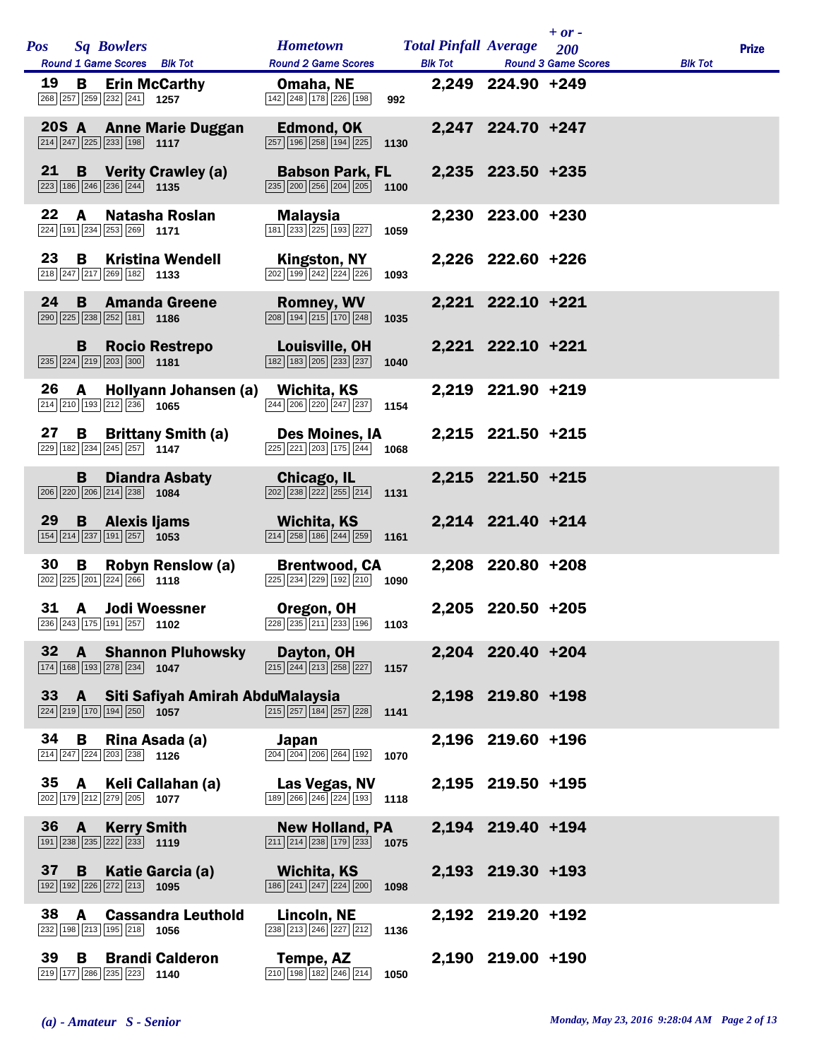|                 |          |                                                                                                                          | <b>Hometown</b>                                                                                             |      |                                                    |                   | $+$ or $-$                 |                |              |
|-----------------|----------|--------------------------------------------------------------------------------------------------------------------------|-------------------------------------------------------------------------------------------------------------|------|----------------------------------------------------|-------------------|----------------------------|----------------|--------------|
|                 |          | Pos Sq Bowlers<br>Round 1 Game Scores Blk Tot                                                                            | <b>Round 2 Game Scores</b>                                                                                  |      | <b>Total Pinfall Average</b> 200<br><b>Blk Tot</b> |                   | <b>Round 3 Game Scores</b> | <b>Blk Tot</b> | <b>Prize</b> |
|                 |          |                                                                                                                          |                                                                                                             |      |                                                    |                   |                            |                |              |
| 19              | B        | <b>Erin McCarthy</b><br>268 257 259 232 241 1257                                                                         | Omaha, NE<br>142 248 178 226 198                                                                            | 992  |                                                    | 2,249 224.90 +249 |                            |                |              |
|                 |          |                                                                                                                          |                                                                                                             |      |                                                    |                   |                            |                |              |
|                 |          | 20S A Anne Marie Duggan                                                                                                  | Edmond, OK                                                                                                  |      |                                                    | 2,247 224.70 +247 |                            |                |              |
|                 |          | $\boxed{214}$ $\boxed{247}$ $\boxed{225}$ $\boxed{233}$ $\boxed{198}$ 1117                                               | $\boxed{257}$ 196 258 194 225                                                                               | 1130 |                                                    |                   |                            |                |              |
| 21              |          | <b>B</b> Verity Crawley (a)                                                                                              | <b>Babson Park, FL</b>                                                                                      |      |                                                    | 2,235 223.50 +235 |                            |                |              |
|                 |          | $\boxed{223}$ 186 $\boxed{246}$ $\boxed{236}$ $\boxed{244}$ 1135                                                         | $\boxed{235}$ $\boxed{200}$ $\boxed{256}$ $\boxed{204}$ $\boxed{205}$                                       | 1100 |                                                    |                   |                            |                |              |
| 22              |          |                                                                                                                          |                                                                                                             |      |                                                    |                   |                            |                |              |
|                 | A        | Natasha Roslan<br>$\boxed{224}$ 191 $\boxed{234}$ $\boxed{253}$ $\boxed{269}$ 1171                                       | Malaysia<br>181 233 225 193 227                                                                             | 1059 |                                                    | 2,230 223.00 +230 |                            |                |              |
|                 |          |                                                                                                                          |                                                                                                             |      |                                                    |                   |                            |                |              |
| 23              | B        | <b>Kristina Wendell</b>                                                                                                  | Kingston, NY                                                                                                |      |                                                    | 2,226 222.60 +226 |                            |                |              |
|                 |          | 218 247 217 269 182 1133                                                                                                 | 202 199 242 224 226                                                                                         | 1093 |                                                    |                   |                            |                |              |
| 24              |          | <b>B</b> Amanda Greene                                                                                                   | <b>Romney, WV</b>                                                                                           |      |                                                    | 2,221 222.10 +221 |                            |                |              |
|                 |          | $\boxed{290}$ $\boxed{225}$ $\boxed{238}$ $\boxed{252}$ $\boxed{181}$ 1186                                               | $\boxed{208}$ $\boxed{194}$ $\boxed{215}$ $\boxed{170}$ $\boxed{248}$                                       | 1035 |                                                    |                   |                            |                |              |
|                 |          |                                                                                                                          |                                                                                                             |      |                                                    | 2,221 222.10 +221 |                            |                |              |
|                 | B        | <b>Rocio Restrepo</b>                                                                                                    | Louisville, OH<br>$\boxed{182}$ $\boxed{183}$ $\boxed{205}$ $\boxed{233}$ $\boxed{237}$                     | 1040 |                                                    |                   |                            |                |              |
|                 |          |                                                                                                                          |                                                                                                             |      |                                                    |                   |                            |                |              |
| 26              | A        | Hollyann Johansen (a)                                                                                                    | Wichita, KS                                                                                                 |      |                                                    | 2,219 221.90 +219 |                            |                |              |
|                 |          | $\boxed{214}$ $\boxed{210}$ $\boxed{193}$ $\boxed{212}$ $\boxed{236}$ <b>1065</b>                                        | $\overline{244}$ $\overline{206}$ $\overline{220}$ $\overline{247}$ $\overline{237}$ 1154                   |      |                                                    |                   |                            |                |              |
| 27              |          | <b>B</b> Brittany Smith (a)                                                                                              | Des Moines, IA                                                                                              |      |                                                    | 2,215 221.50 +215 |                            |                |              |
|                 |          | $\boxed{229}$ 182 $\boxed{234}$ $\boxed{245}$ $\boxed{257}$ 1147                                                         | $\overline{225}$ $\overline{221}$ $\overline{203}$ $\overline{175}$ $\overline{244}$ 1068                   |      |                                                    |                   |                            |                |              |
|                 | B        | <b>Diandra Asbaty</b>                                                                                                    | <b>Chicago, IL</b>                                                                                          |      |                                                    | 2,215 221.50 +215 |                            |                |              |
|                 |          | 206 220 206 214 238 1084                                                                                                 | $\boxed{202}$ $\boxed{238}$ $\boxed{222}$ $\boxed{255}$ $\boxed{214}$ 1131                                  |      |                                                    |                   |                            |                |              |
|                 |          |                                                                                                                          |                                                                                                             |      |                                                    |                   |                            |                |              |
| 29              |          | <b>B</b> Alexis Ijams<br>$\boxed{154}$ $\boxed{214}$ $\boxed{237}$ $\boxed{191}$ $\boxed{257}$ <b>1053</b>               | Wichita, KS<br>$\boxed{214}$ $\boxed{258}$ $\boxed{186}$ $\boxed{244}$ $\boxed{259}$ <b>1161</b>            |      |                                                    | 2,214 221.40 +214 |                            |                |              |
|                 |          |                                                                                                                          |                                                                                                             |      |                                                    |                   |                            |                |              |
| 30              | В        | <b>Robyn Renslow (a)</b>                                                                                                 | <b>Brentwood, CA</b>                                                                                        |      |                                                    | 2,208 220.80 +208 |                            |                |              |
|                 |          | $\boxed{202}$ $\boxed{225}$ $\boxed{201}$ $\boxed{224}$ $\boxed{266}$ 1118                                               | $\boxed{225}$ $\boxed{234}$ $\boxed{229}$ $\boxed{192}$ $\boxed{210}$ 1090                                  |      |                                                    |                   |                            |                |              |
|                 |          | 31 A Jodi Woessner                                                                                                       | Oregon, OH                                                                                                  |      |                                                    | 2,205 220.50 +205 |                            |                |              |
|                 |          | 236 243 175 191 257 1102                                                                                                 | $228$ $235$ $211$ $233$ $196$ <b>1103</b>                                                                   |      |                                                    |                   |                            |                |              |
| $32 \quad A$    |          |                                                                                                                          |                                                                                                             |      |                                                    | 2,204 220.40 +204 |                            |                |              |
|                 |          | <b>Shannon Pluhowsky Dayton, OH</b><br>$\boxed{174}$ $\boxed{168}$ $\boxed{193}$ $\boxed{278}$ $\boxed{234}$ <b>1047</b> | $\boxed{215}$ $\boxed{244}$ $\boxed{213}$ $\boxed{258}$ $\boxed{227}$ <b>1157</b>                           |      |                                                    |                   |                            |                |              |
|                 |          |                                                                                                                          |                                                                                                             |      |                                                    |                   |                            |                |              |
|                 |          | 33 A Siti Safiyah Amirah AbduMalaysia                                                                                    |                                                                                                             |      |                                                    | 2,198 219.80 +198 |                            |                |              |
|                 |          | 224 219 170 194 250 1057                                                                                                 | $\boxed{215}$ $\boxed{257}$ $\boxed{184}$ $\boxed{257}$ $\boxed{228}$ <b>1141</b>                           |      |                                                    |                   |                            |                |              |
| 34 B            |          | Rina Asada (a)                                                                                                           | Japan                                                                                                       |      |                                                    | 2,196 219.60 +196 |                            |                |              |
|                 |          | $\boxed{214}$ $\boxed{247}$ $\boxed{224}$ $\boxed{203}$ $\boxed{238}$ <b>1126</b>                                        | $\boxed{204}$ $\boxed{204}$ $\boxed{206}$ $\boxed{264}$ $\boxed{192}$ <b>1070</b>                           |      |                                                    |                   |                            |                |              |
| 35 A            |          | Keli Callahan (a)                                                                                                        | Las Vegas, NV                                                                                               |      |                                                    | 2,195 219.50 +195 |                            |                |              |
|                 |          | 202 179 212 279 205 1077                                                                                                 | $\boxed{189}$ $\boxed{266}$ $\boxed{246}$ $\boxed{224}$ $\boxed{193}$ <b>1118</b>                           |      |                                                    |                   |                            |                |              |
|                 |          |                                                                                                                          |                                                                                                             |      |                                                    |                   |                            |                |              |
| $36 \quad A$    |          | <b>Kerry Smith</b><br>$\boxed{191}$ $\boxed{238}$ $\boxed{235}$ $\boxed{222}$ $\boxed{233}$ <b>1119</b>                  | <b>New Holland, PA</b><br>$\boxed{211}$ $\boxed{214}$ $\boxed{238}$ $\boxed{179}$ $\boxed{233}$ <b>1075</b> |      |                                                    | 2,194 219.40 +194 |                            |                |              |
|                 |          |                                                                                                                          |                                                                                                             |      |                                                    |                   |                            |                |              |
| 37 <sub>2</sub> | <b>B</b> | Katie Garcia (a)                                                                                                         | <b>Wichita, KS</b>                                                                                          |      |                                                    | 2,193 219.30 +193 |                            |                |              |
|                 |          | 192 192 226 272 213 1095                                                                                                 | $\boxed{186}\boxed{241}\boxed{247}\boxed{224}\boxed{200}$ 1098                                              |      |                                                    |                   |                            |                |              |
| 38              | <b>A</b> | <b>Cassandra Leuthold</b>                                                                                                | Lincoln, NE                                                                                                 |      |                                                    | 2,192 219.20 +192 |                            |                |              |
|                 |          | 232 198 213 195 218 1056                                                                                                 | $\boxed{238}$ $\boxed{213}$ $\boxed{246}$ $\boxed{227}$ $\boxed{212}$ <b>1136</b>                           |      |                                                    |                   |                            |                |              |
| 39              | B        | <b>Brandi Calderon</b>                                                                                                   | Tempe, AZ                                                                                                   |      |                                                    | 2,190 219.00 +190 |                            |                |              |
|                 |          | 219 177 286 235 223 1140                                                                                                 | $\overline{210}$ 198 182 246 214 1050                                                                       |      |                                                    |                   |                            |                |              |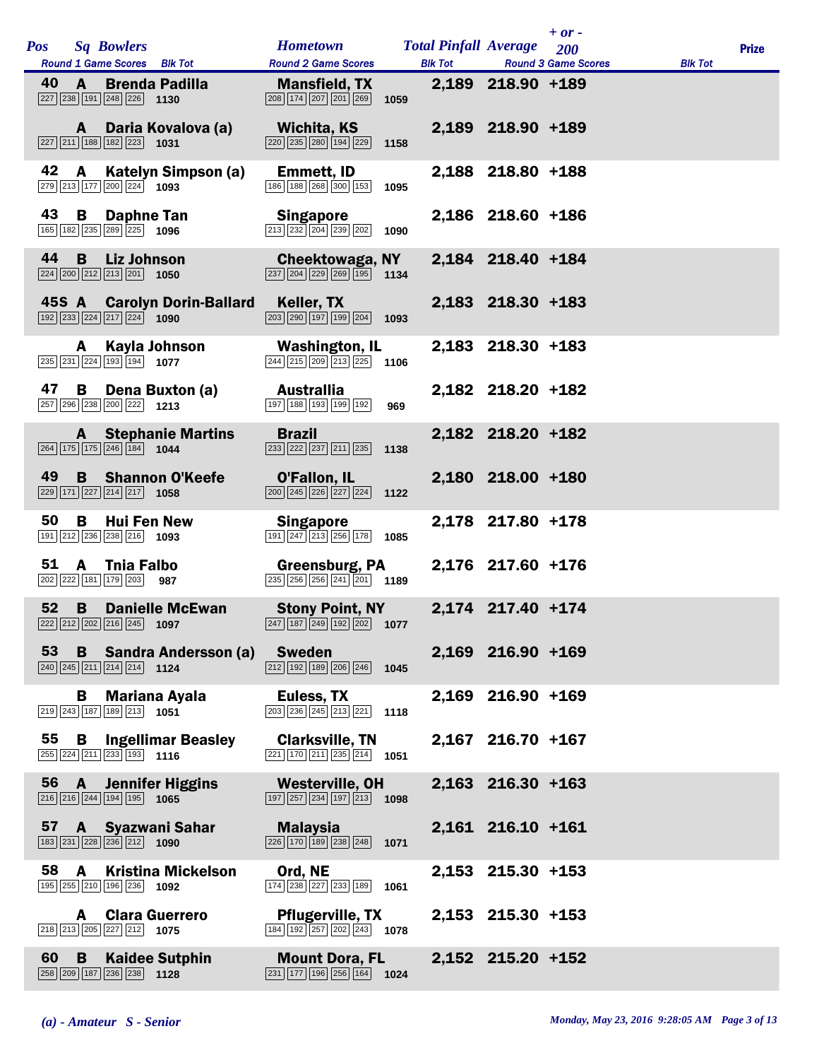|            |              |                                                                                                                | <b>Hometown</b>                                                                                                             |      | <b>Total Pinfall Average</b> 200 |                     | $+$ or $-$                 |                |              |
|------------|--------------|----------------------------------------------------------------------------------------------------------------|-----------------------------------------------------------------------------------------------------------------------------|------|----------------------------------|---------------------|----------------------------|----------------|--------------|
| <b>Pos</b> |              | <b>Sq Bowlers</b><br>Round 1 Game Scores Blk Tot                                                               | <b>Round 2 Game Scores</b>                                                                                                  |      | <b>Blk Tot</b>                   |                     | <b>Round 3 Game Scores</b> | <b>Blk Tot</b> | <b>Prize</b> |
| 40         | $\mathbf{A}$ | <b>Brenda Padilla</b><br>$\boxed{227}$ $\boxed{238}$ $\boxed{191}$ $\boxed{248}$ $\boxed{226}$ <b>1130</b>     | <b>Mansfield, TX</b><br>$\boxed{208}\boxed{174}\boxed{207}\boxed{201}\boxed{269}$                                           | 1059 |                                  | 2,189 218.90 +189   |                            |                |              |
|            | A            | Daria Kovalova (a)<br>$\boxed{227}$ $\boxed{211}$ $\boxed{188}$ $\boxed{182}$ $\boxed{223}$ <b>1031</b>        | Wichita, KS<br>$\boxed{220}$ $\boxed{235}$ $\boxed{280}$ $\boxed{194}$ $\boxed{229}$                                        | 1158 |                                  | 2,189 218.90 +189   |                            |                |              |
| 42         | A            | Katelyn Simpson (a)<br>279 213 177 200 224 1093                                                                | <b>Emmett, ID</b><br>186 188 268 300 153                                                                                    | 1095 |                                  | 2,188 218.80 +188   |                            |                |              |
| 43         | B            | <b>Daphne Tan</b><br>165 182 235 289 225 1096                                                                  | <b>Singapore</b><br>213 232 204 239 202                                                                                     | 1090 |                                  | 2,186 218.60 +186   |                            |                |              |
| 44         | B            | <b>Liz Johnson</b><br>224 200 212 213 201 1050                                                                 | Cheektowaga, NY<br>$\boxed{237}$ $\boxed{204}$ $\boxed{229}$ $\boxed{269}$ $\boxed{195}$ 1134                               |      |                                  | 2,184 218.40 +184   |                            |                |              |
|            |              | 45S A Carolyn Dorin-Ballard<br>192 233 224 217 224 1090                                                        | Keller, TX<br>$\boxed{203}$ $\boxed{290}$ $\boxed{197}$ $\boxed{199}$ $\boxed{204}$ 1093                                    |      |                                  | 2,183 218.30 +183   |                            |                |              |
|            | A            | Kayla Johnson<br>235 231 224 193 194 1077                                                                      | <b>Washington, IL</b><br>$\boxed{244}$ $\boxed{215}$ $\boxed{209}$ $\boxed{213}$ $\boxed{225}$ <b>1106</b>                  |      |                                  | 2,183 218.30 +183   |                            |                |              |
| 47         | B            | Dena Buxton (a)<br>257 296 238 200 222 1213                                                                    | <b>Australlia</b><br>197 188 193 199 192                                                                                    | 969  |                                  | 2,182 218.20 +182   |                            |                |              |
|            |              | <b>A</b> Stephanie Martins<br>$\boxed{264}$ 175 175 246 184 1044                                               | <b>Brazil</b><br>$\boxed{233}$ $\boxed{222}$ $\boxed{237}$ $\boxed{211}$ $\boxed{235}$                                      | 1138 |                                  | 2,182 218.20 +182   |                            |                |              |
| 49         |              | <b>B</b> Shannon O'Keefe<br>229 171 227 214 217 1058                                                           | O'Fallon, IL<br>$\boxed{200}$ $\boxed{245}$ $\boxed{226}$ $\boxed{227}$ $\boxed{224}$                                       | 1122 |                                  | 2,180 218.00 +180   |                            |                |              |
| 50         | B            | <b>Hui Fen New</b><br>191 212 236 238 216 1093                                                                 | <b>Singapore</b><br>$\boxed{191}\boxed{247}\boxed{213}\boxed{256}\boxed{178}$                                               | 1085 |                                  | 2,178 217.80 +178   |                            |                |              |
| 51         | $\mathbf{A}$ | <b>Thia Falbo</b><br>202 222 181 179 203 987                                                                   | <b>Greensburg, PA</b><br>$\overline{ 235 } 256   256   241   201$ 1189                                                      |      |                                  | 2,176 217.60 +176   |                            |                |              |
| 52         | B            | <b>Danielle McEwan</b><br>$\boxed{222}\boxed{212}\boxed{202}\boxed{216}\boxed{245}$ 1097                       | <b>Stony Point, NY</b><br>247 187 249 192 202 1077                                                                          |      |                                  | 2,174 217.40 +174   |                            |                |              |
|            |              | 53 B Sandra Andersson (a)<br>$\boxed{240}$ $\boxed{245}$ $\boxed{211}$ $\boxed{214}$ $\boxed{214}$ <b>1124</b> | Sweden<br>$\boxed{212}$ $\boxed{192}$ $\boxed{189}$ $\boxed{206}$ $\boxed{246}$ <b>1045</b>                                 |      |                                  | 2,169 216.90 +169   |                            |                |              |
|            |              | <b>B</b> Mariana Ayala<br>219 243 187 189 213 1051                                                             | Euless, TX<br>$\boxed{203}$ $\boxed{236}$ $\boxed{245}$ $\boxed{213}$ $\boxed{221}$                                         | 1118 |                                  | 2,169 216.90 +169   |                            |                |              |
|            |              | 55 B Ingellimar Beasley<br>255 224 211 233 193 1116                                                            | <b>Clarksville, TN</b><br>$\boxed{221}$ 170 $\boxed{211}$ $\boxed{235}$ $\boxed{214}$ 1051                                  |      |                                  | 2,167 216.70 +167   |                            |                |              |
|            |              | 56 A Jennifer Higgins<br>$\boxed{216}$ $\boxed{216}$ $\boxed{244}$ $\boxed{194}$ $\boxed{195}$ <b>1065</b>     | <b>Westerville, OH</b><br>$\boxed{197}$ $\boxed{257}$ $\boxed{234}$ $\boxed{197}$ $\boxed{213}$ <b>1098</b>                 |      |                                  | $2,163$ 216.30 +163 |                            |                |              |
|            |              | 57 A Syazwani Sahar<br>183 231 228 236 212 1090                                                                | Malaysia<br>$\boxed{226}$ 170 189 238 248 1071                                                                              |      |                                  | 2,161 216.10 +161   |                            |                |              |
| 58         | A            | <b>Kristina Mickelson</b><br>195 255 210 196 236 1092                                                          | Ord, NE<br>$\boxed{174}$ $\boxed{238}$ $\boxed{227}$ $\boxed{233}$ $\boxed{189}$                                            | 1061 |                                  | 2,153 215.30 +153   |                            |                |              |
|            | A            | <b>Clara Guerrero</b><br>$\boxed{218}$ $\boxed{213}$ $\boxed{205}$ $\boxed{227}$ $\boxed{212}$ <b>1075</b>     | <b>Pflugerville, TX</b><br>$\overline{184}$ $\overline{192}$ $\overline{257}$ $\overline{202}$ $\overline{243}$ <b>1078</b> |      |                                  | 2,153 215.30 +153   |                            |                |              |
| 60         | B            | <b>Kaidee Sutphin</b><br>258 209 187 236 238 1128                                                              | <b>Mount Dora, FL</b><br>$\boxed{231}$ $\boxed{177}$ $\boxed{196}$ $\boxed{256}$ $\boxed{164}$ <b>1024</b>                  |      |                                  | 2,152 215.20 +152   |                            |                |              |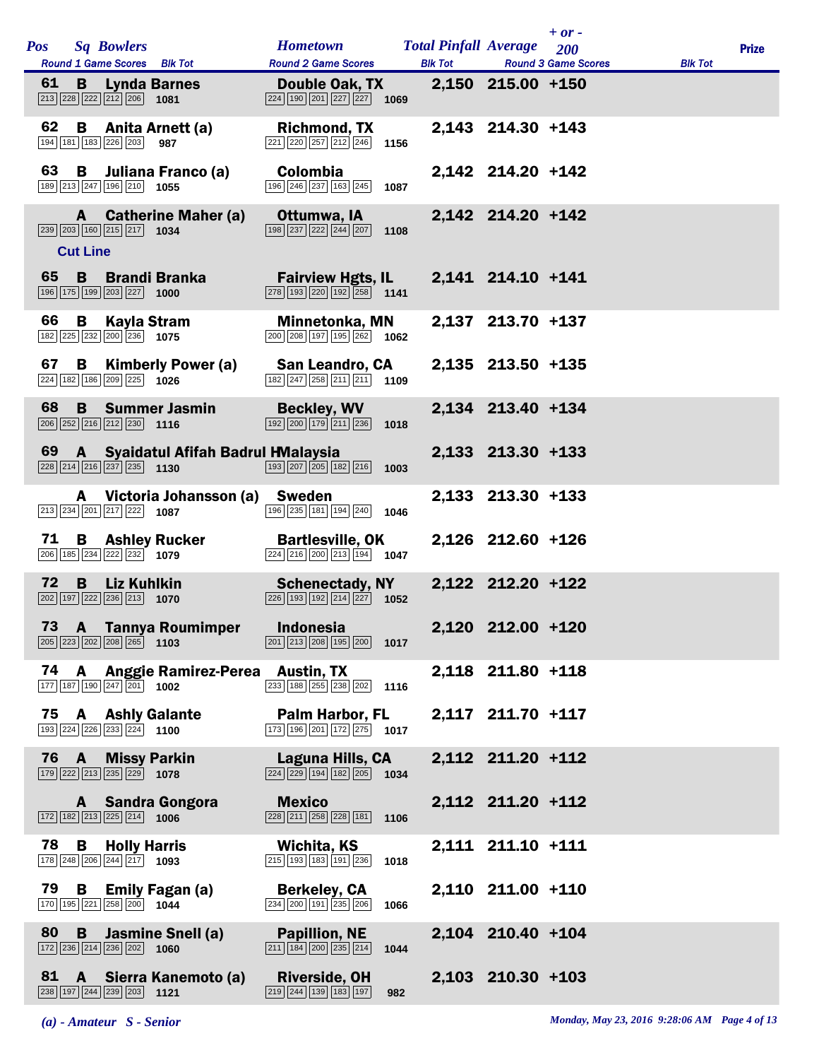|    |                      |                                                                                                         |                                     | <b>Hometown</b>                                                                                                              | <b>Total Pinfall Average</b> |                     | $+$ or $-$                        |                |              |
|----|----------------------|---------------------------------------------------------------------------------------------------------|-------------------------------------|------------------------------------------------------------------------------------------------------------------------------|------------------------------|---------------------|-----------------------------------|----------------|--------------|
|    |                      | Pos Sq Bowlers<br>Round 1 Game Scores Blk Tot                                                           |                                     | <b>Round 2 Game Scores</b>                                                                                                   | <b>Blk Tot</b>               |                     | 200<br><b>Round 3 Game Scores</b> | <b>Blk Tot</b> | <b>Prize</b> |
| 61 | B -                  | $\boxed{213}$ $\boxed{228}$ $\boxed{222}$ $\boxed{212}$ $\boxed{206}$ <b>1081</b>                       | <b>Lynda Barnes</b>                 | <b>Double Oak, TX</b><br>$\boxed{224}$ $\boxed{190}$ $\boxed{201}$ $\boxed{227}$ $\boxed{227}$<br>1069                       |                              | 2,150 215.00 +150   |                                   |                |              |
| 62 |                      | 194 181 183 226 203                                                                                     | <b>B</b> Anita Arnett (a)<br>987    | <b>Richmond, TX</b><br>$\boxed{221}$ $\boxed{220}$ $\boxed{257}$ $\boxed{212}$ $\boxed{246}$                                 | 1156                         | 2,143 214.30 +143   |                                   |                |              |
| 63 |                      | 189 213 247 196 210 1055                                                                                | <b>B</b> Juliana Franco (a)         | <b>Colombia</b><br>196 246 237 163 245                                                                                       | 1087                         | 2,142 214.20 +142   |                                   |                |              |
|    | A<br><b>Cut Line</b> | 239 203 160 215 217 1034                                                                                | <b>Catherine Maher (a)</b>          | Ottumwa, IA<br>$\boxed{198}\boxed{237}\boxed{222}\boxed{244}\boxed{207}$ 1108                                                |                              | 2,142 214.20 +142   |                                   |                |              |
| 65 | B                    | 196 175 199 203 227 1000                                                                                | <b>Brandi Branka</b>                | <b>Fairview Hgts, IL</b><br>$\boxed{278}$ $\boxed{193}$ $\boxed{220}$ $\boxed{192}$ $\boxed{258}$ 1141                       |                              | 2,141 214.10 +141   |                                   |                |              |
| 66 | $\mathbf{B}$         | Kayla Stram<br>$\boxed{182}\boxed{225}\boxed{232}\boxed{200}\boxed{236}$ 1075                           |                                     | Minnetonka, MN<br>$\overline{ 200 }$ $\overline{ 208 }$ $\overline{ 197 }$ $\overline{ 195 }$ $\overline{ 262 }$ <b>1062</b> |                              | 2,137 213.70 +137   |                                   |                |              |
| 67 | B                    | 224 182 186 209 225 1026                                                                                | <b>Kimberly Power (a)</b>           | San Leandro, CA<br>$\boxed{182}\boxed{247}\boxed{258}\boxed{211}\boxed{211}$ 1109                                            |                              | 2,135 213.50 +135   |                                   |                |              |
| 68 | B.                   | $\boxed{206}$ $\boxed{252}$ $\boxed{216}$ $\boxed{212}$ $\boxed{230}$ 1116                              | <b>Summer Jasmin</b>                | <b>Beckley, WV</b><br>$\boxed{192}$ $\boxed{200}$ $\boxed{179}$ $\boxed{211}$ $\boxed{236}$                                  | 1018                         | 2,134 213.40 +134   |                                   |                |              |
| 69 |                      | $\boxed{228}\boxed{214}\boxed{216}\boxed{237}\boxed{235}$ 1130                                          | A Syaidatul Afifah Badrul HMalaysia | $\boxed{193}$ $\boxed{207}$ $\boxed{205}$ $\boxed{182}$ $\boxed{216}$ <b>1003</b>                                            |                              | 2,133 213.30 +133   |                                   |                |              |
|    |                      | 213 234 201 217 222 1087                                                                                | A Victoria Johansson (a) Sweden     | 196 235 181 194 240                                                                                                          | 1046                         | 2,133 213.30 +133   |                                   |                |              |
| 71 |                      | 206 185 234 222 232 1079                                                                                | <b>B</b> Ashley Rucker              | <b>Bartlesville, OK</b><br>$\boxed{224}$ $\boxed{216}$ $\boxed{200}$ $\boxed{213}$ $\boxed{194}$ 1047                        |                              | 2,126 212.60 +126   |                                   |                |              |
| 72 | B                    | <b>Liz Kuhlkin</b><br>$\boxed{202}$ $\boxed{197}$ $\boxed{222}$ $\boxed{236}$ $\boxed{213}$ <b>1070</b> |                                     | <b>Schenectady, NY</b><br>$\overline{ 226 } 193   192   214   227 $ 1052                                                     |                              | 2,122 212.20 +122   |                                   |                |              |
|    |                      | $\boxed{205}$ $\boxed{223}$ $\boxed{202}$ $\boxed{208}$ $\boxed{265}$ 1103                              | 73 A Tannya Roumimper               | Indonesia<br>$\boxed{201}$ $\boxed{213}$ $\boxed{208}$ $\boxed{195}$ $\boxed{200}$ <b>1017</b>                               |                              | 2,120 212.00 +120   |                                   |                |              |
| 74 | A                    | $\boxed{177}$ $\boxed{187}$ $\boxed{190}$ $\boxed{247}$ $\boxed{201}$ <b>1002</b>                       | Anggie Ramirez-Perea Austin, TX     | 233 188 255 238 202                                                                                                          | 1116                         | 2,118 211.80 +118   |                                   |                |              |
| 75 |                      | 193 224 226 233 224 1100                                                                                | <b>A</b> Ashly Galante              | Palm Harbor, FL<br>$\boxed{173}$ $\boxed{196}$ $\boxed{201}$ $\boxed{172}$ $\boxed{275}$ <b>1017</b>                         |                              | 2,117 211.70 +117   |                                   |                |              |
| 76 | $\mathbf{A}$         | $\boxed{179}$ $\boxed{222}$ $\boxed{213}$ $\boxed{235}$ $\boxed{229}$ <b>1078</b>                       | <b>Missy Parkin</b>                 | Laguna Hills, CA<br>$\boxed{224}$ $\boxed{229}$ $\boxed{194}$ $\boxed{182}$ $\boxed{205}$ <b>1034</b>                        |                              | 2,112 211.20 +112   |                                   |                |              |
|    | A                    | $\boxed{172}$ $\boxed{182}$ $\boxed{213}$ $\boxed{225}$ $\boxed{214}$ <b>1006</b>                       | <b>Sandra Gongora</b>               | <b>Mexico</b><br>228 211 258 228 181<br>1106                                                                                 |                              | 2,112 211.20 +112   |                                   |                |              |
| 78 | В                    | <b>Holly Harris</b><br>178 248 206 244 217 1093                                                         |                                     | Wichita, KS<br>215 193 183 191 236                                                                                           | 1018                         | 2,111 211.10 +111   |                                   |                |              |
| 79 | <b>B</b>             | 170 195 221 258 200 1044                                                                                | <b>Emily Fagan (a)</b>              | <b>Berkeley, CA</b><br>234 200 191 235 206                                                                                   | 1066                         | 2,110 211.00 +110   |                                   |                |              |
| 80 | <b>B</b>             | 172 236 214 236 202 1060                                                                                | <b>Jasmine Snell (a)</b>            | <b>Papillion, NE</b><br>$\boxed{211}$ $\boxed{184}$ $\boxed{200}$ $\boxed{235}$ $\boxed{214}$                                | 1044                         | 2,104 210.40 +104   |                                   |                |              |
| 81 | <b>A</b>             | $\boxed{238}$ 197 244 239 203 1121                                                                      | Sierra Kanemoto (a)                 | <b>Riverside, OH</b><br>$\boxed{219}$ $\boxed{244}$ $\boxed{139}$ $\boxed{183}$ $\boxed{197}$                                | 982                          | $2,103$ 210.30 +103 |                                   |                |              |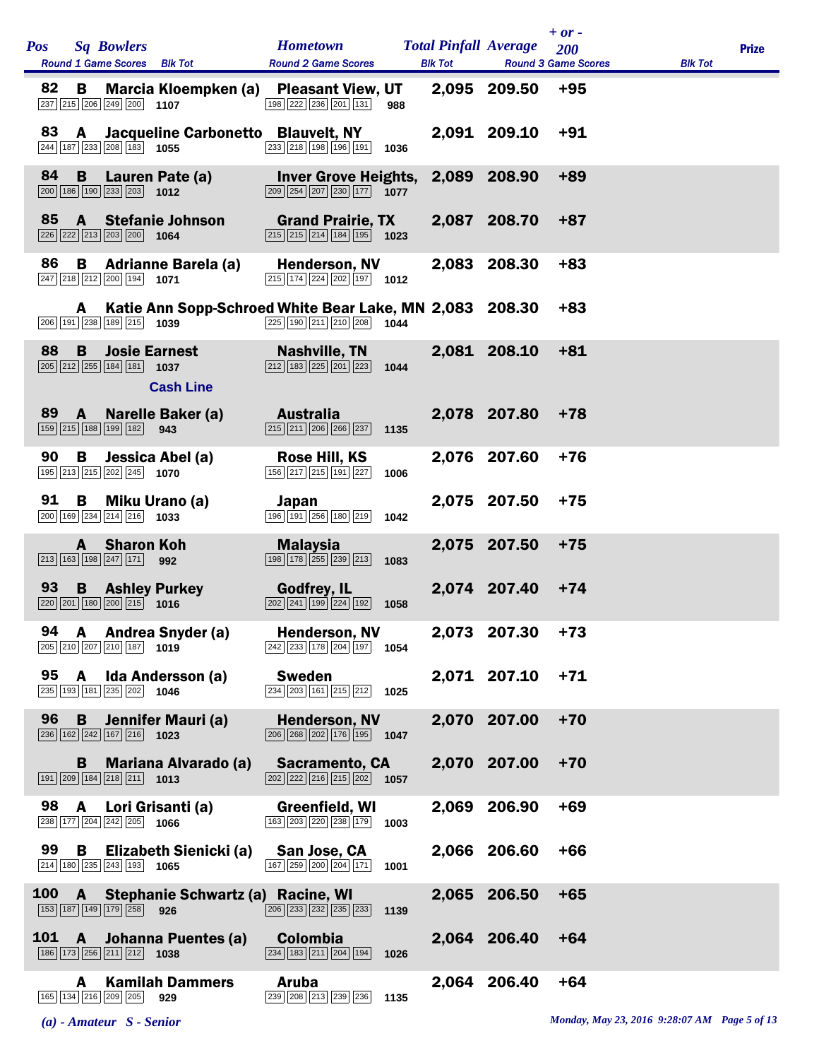| <b>Pos</b><br><b>Sq Bowlers</b><br>Round 1 Game Scores Blk Tot                                                             | <b>Hometown</b><br><b>Round 2 Game Scores</b>                                                                          | <b>Total Pinfall Average</b><br><b>Blk Tot</b> |              | $+ or -$<br>200<br><b>Round 3 Game Scores</b> | <b>Blk Tot</b> | <b>Prize</b> |
|----------------------------------------------------------------------------------------------------------------------------|------------------------------------------------------------------------------------------------------------------------|------------------------------------------------|--------------|-----------------------------------------------|----------------|--------------|
| 82<br>Marcia Kloempken (a)<br>B<br>237 215 206 249 200 1107                                                                | <b>Pleasant View, UT</b><br>198 222 236 201 131<br>988                                                                 |                                                | 2,095 209.50 | $+95$                                         |                |              |
| 83<br>A Jacqueline Carbonetto Blauvelt, NY<br>244 187 233 208 183 1055                                                     | $\boxed{233}$ $\boxed{218}$ $\boxed{198}$ $\boxed{196}$ $\boxed{191}$<br>1036                                          |                                                | 2,091 209.10 | $+91$                                         |                |              |
| 84<br>$\mathbf{B}$<br>Lauren Pate (a)<br>$\boxed{200}$ $\boxed{186}$ $\boxed{190}$ $\boxed{233}$ $\boxed{203}$ <b>1012</b> | Inver Grove Heights, 2,089 208.90<br>$\boxed{209}$ $\boxed{254}$ $\boxed{207}$ $\boxed{230}$ $\boxed{177}$ <b>1077</b> |                                                |              | $+89$                                         |                |              |
| 85<br>A Stefanie Johnson<br>226 222 213 203 200 1064                                                                       | <b>Grand Prairie, TX</b><br>$\overline{215}$ $\overline{215}$ $\overline{214}$ $\overline{184}$ $\overline{195}$ 1023  |                                                | 2,087 208.70 | +87                                           |                |              |
| 86<br>B<br><b>Adrianne Barela (a)</b><br>$\boxed{247}$ $\boxed{218}$ $\boxed{212}$ $\boxed{200}$ $\boxed{194}$ <b>1071</b> | <b>Henderson, NV</b><br>$\boxed{215}$ 174 224 202 197 1012                                                             |                                                | 2,083 208.30 | $+83$                                         |                |              |
| Katie Ann Sopp-Schroed White Bear Lake, MN 2,083 208.30<br>A<br>$\boxed{206}$ 191 $\boxed{238}$ 189 $\boxed{215}$ 1039     | $\boxed{225}$ 190 211 210 208<br>1044                                                                                  |                                                |              | $+83$                                         |                |              |
| 88<br>B<br><b>Josie Earnest</b><br>$\boxed{205}$ $\boxed{212}$ $\boxed{255}$ 184 181 1037<br><b>Cash Line</b>              | Nashville, TN<br>$\boxed{212}$ $\boxed{183}$ $\boxed{225}$ $\boxed{201}$ $\boxed{223}$<br>1044                         |                                                | 2,081 208.10 | $+81$                                         |                |              |
| Narelle Baker (a)<br>89 A<br>159 215 188 199 182 943                                                                       | Australia<br>$\boxed{215}$ $\boxed{211}$ $\boxed{206}$ $\boxed{266}$ $\boxed{237}$<br>1135                             |                                                | 2.078 207.80 | $+78$                                         |                |              |
| 90<br>B<br>Jessica Abel (a)<br>195 213 215 202 245 1070                                                                    | Rose Hill, KS<br>$\boxed{156}\boxed{217}\boxed{215}\boxed{191}\boxed{227}$<br>1006                                     |                                                | 2,076 207.60 | $+76$                                         |                |              |
| 91<br>B<br>Miku Urano (a)<br>$\boxed{200}$ 169 $\boxed{234}$ $\boxed{214}$ $\boxed{216}$ 1033                              | Japan<br>$\boxed{196}$ $\boxed{191}$ $\boxed{256}$ $\boxed{180}$ $\boxed{219}$<br>1042                                 |                                                | 2,075 207.50 | $+75$                                         |                |              |
| <b>Sharon Koh</b><br>A<br>$\boxed{213}$ $\boxed{163}$ $\boxed{198}$ $\boxed{247}$ $\boxed{171}$ 992                        | <b>Malaysia</b><br>$\boxed{198}$ $\boxed{178}$ $\boxed{255}$ $\boxed{239}$ $\boxed{213}$<br>1083                       |                                                | 2,075 207.50 | $+75$                                         |                |              |
| 93<br><b>B</b> Ashley Purkey<br>$\boxed{220}\boxed{201}\boxed{180}\boxed{200}\boxed{215}$ 1016                             | <b>Godfrey, IL</b><br>$\boxed{202}$ $\boxed{241}$ $\boxed{199}$ $\boxed{224}$ $\boxed{192}$<br>1058                    |                                                | 2.074 207.40 | $+74$                                         |                |              |
| 94 A Andrea Snyder (a)<br>$\boxed{205}$ $\boxed{210}$ $\boxed{207}$ $\boxed{210}$ $\boxed{187}$ 1019                       | <b>Henderson, NV</b><br>$\sqrt{242}\sqrt{233}\sqrt{178}\sqrt{204}\sqrt{197}$ 1054                                      |                                                | 2,073 207.30 | $+73$                                         |                |              |
| 95 A Ida Andersson (a)<br>$\boxed{235}$ 193 181 235 202 1046                                                               | <b>Sweden</b><br>$\boxed{234}$ $\boxed{203}$ $\boxed{161}$ $\boxed{215}$ $\boxed{212}$ <b>1025</b>                     |                                                | 2,071 207.10 | $+71$                                         |                |              |
| 96<br>Jennifer Mauri (a)<br>B.<br>$\boxed{236}$ $\boxed{162}$ $\boxed{242}$ $\boxed{167}$ $\boxed{216}$ <b>1023</b>        | <b>Henderson, NV</b><br>206 268 202 176 195 1047                                                                       |                                                | 2,070 207.00 | $+70$                                         |                |              |
| <b>B</b> Mariana Alvarado (a)<br>$\boxed{191}$ $\boxed{209}$ $\boxed{184}$ $\boxed{218}$ $\boxed{211}$ <b>1013</b>         | <b>Sacramento, CA</b><br>$\sqrt{202}\sqrt{222}\sqrt{216}\sqrt{215}\sqrt{202}$ 1057                                     |                                                | 2.070 207.00 | $+70$                                         |                |              |
| 98 A Lori Grisanti (a)<br>238 177 204 242 205 1066                                                                         | Greenfield, WI<br>163 203 220 238 179<br>1003                                                                          |                                                | 2,069 206.90 | $+69$                                         |                |              |
| 99 B Elizabeth Sienicki (a)<br>$\boxed{214}$ 180 $\boxed{235}$ $\boxed{243}$ 193 1065                                      | San Jose, CA<br>167 259 200 204 171 1001                                                                               |                                                | 2,066 206.60 | $+66$                                         |                |              |
| 100 A Stephanie Schwartz (a) Racine, WI<br>153 187 149 179 258 926                                                         | 206 233 232 235 233<br>1139                                                                                            |                                                | 2,065 206.50 | $+65$                                         |                |              |
| 101 A Johanna Puentes (a)<br>186 173 256 211 212 1038                                                                      | <b>Colombia</b><br>$\boxed{234}$ $\boxed{183}$ $\boxed{211}$ $\boxed{204}$ $\boxed{194}$<br>1026                       |                                                | 2,064 206.40 | $+64$                                         |                |              |
| <b>Kamilah Dammers</b><br>A<br>165 134 216 209 205<br>929                                                                  | Aruba<br>239 208 213 239 236<br>1135                                                                                   |                                                | 2,064 206.40 | $+64$                                         |                |              |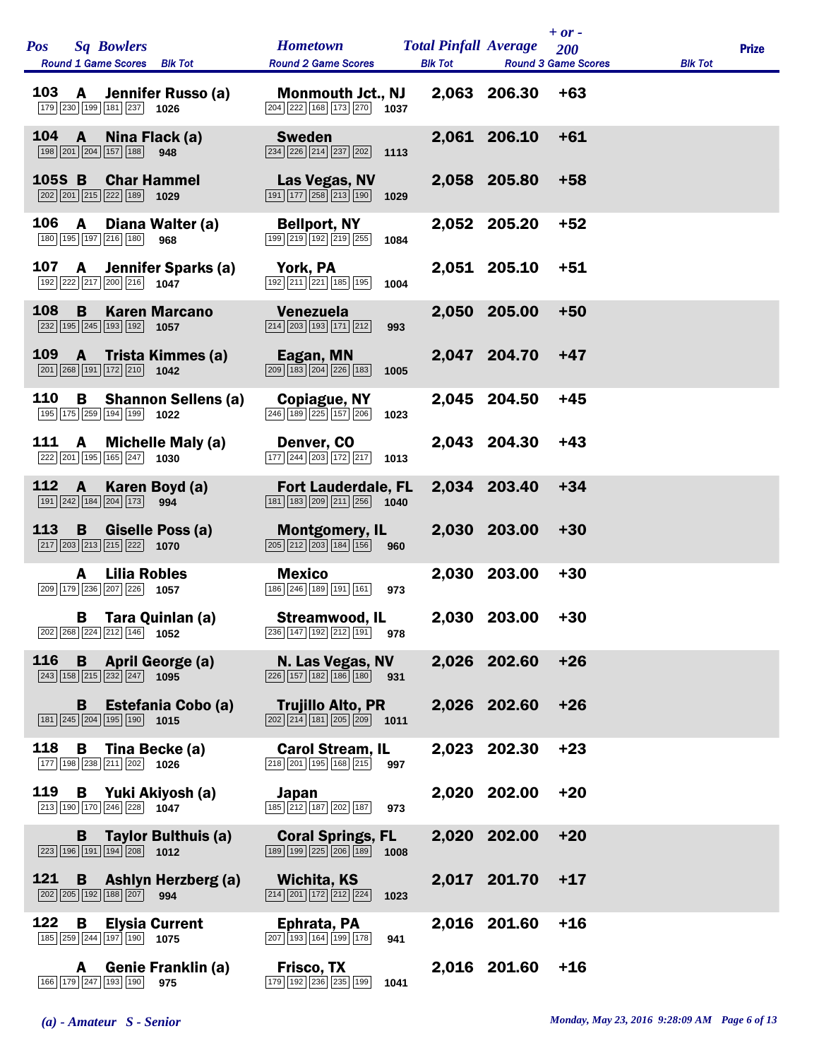| <b>Pos</b> |                | <b>Sq Bowlers</b><br>Round 1 Game Scores Blk Tot                                                           | <b>Hometown</b><br><b>Round 2 Game Scores</b>                                                                   | <b>Total Pinfall Average</b><br><b>Blk Tot</b> |              | $+$ or $-$<br>200<br><b>Round 3 Game Scores</b> | <b>Blk Tot</b> | <b>Prize</b> |
|------------|----------------|------------------------------------------------------------------------------------------------------------|-----------------------------------------------------------------------------------------------------------------|------------------------------------------------|--------------|-------------------------------------------------|----------------|--------------|
| <b>103</b> | $\mathsf{A}$   | Jennifer Russo (a)<br>179 230 199 181 237 1026                                                             | <b>Monmouth Jct., NJ</b><br>204 222 168 173 270 1037                                                            |                                                | 2,063 206.30 | $+63$                                           |                |              |
| 104        | $\overline{A}$ | Nina Flack (a)<br>198 201 204 157 188 948                                                                  | <b>Sweden</b><br>$\boxed{234}$ $\boxed{226}$ $\boxed{214}$ $\boxed{237}$ $\boxed{202}$ 1113                     |                                                | 2,061 206.10 | $+61$                                           |                |              |
| 105S B     |                | <b>Char Hammel</b><br>$\boxed{202}$ $\boxed{201}$ $\boxed{215}$ $\boxed{222}$ $\boxed{189}$ <b>1029</b>    | Las Vegas, NV<br>$\boxed{191}$ $\boxed{177}$ $\boxed{258}$ $\boxed{213}$ $\boxed{190}$<br>1029                  |                                                | 2,058 205.80 | $+58$                                           |                |              |
| 106        | A              | Diana Walter (a)<br>180 195 197 216 180<br>968                                                             | <b>Bellport, NY</b><br>199 219 192 219 255<br>1084                                                              |                                                | 2,052 205.20 | $+52$                                           |                |              |
| 107        | $\mathsf{A}$   | Jennifer Sparks (a)<br>$\boxed{192}\boxed{222}\boxed{217}\boxed{200}\boxed{216}$ 1047                      | York, PA<br>192 211 221 185 195<br>1004                                                                         |                                                | 2,051 205.10 | $+51$                                           |                |              |
| 108        | B              | <b>Karen Marcano</b><br>$\overline{232}$ 195 $\overline{245}$ 193 192 1057                                 | <b>Venezuela</b><br>$\boxed{214}$ $\boxed{203}$ $\boxed{193}$ $\boxed{171}$ $\boxed{212}$<br>993                |                                                | 2,050 205.00 | $+50$                                           |                |              |
| <b>109</b> | <b>A</b>       | Trista Kimmes (a)<br>$\boxed{201}$ $\boxed{268}$ $\boxed{191}$ $\boxed{172}$ $\boxed{210}$ <b>1042</b>     | Eagan, MN<br>$\boxed{209}$ $\boxed{183}$ $\boxed{204}$ $\boxed{226}$ $\boxed{183}$<br>1005                      |                                                | 2,047 204.70 | $+47$                                           |                |              |
| 110        | В              | <b>Shannon Sellens (a)</b><br>195 175 259 194 199 1022                                                     | Copiague, NY<br>246 189 225 157 206<br>1023                                                                     |                                                | 2,045 204.50 | $+45$                                           |                |              |
| 111        | $\mathbf{A}$   | <b>Michelle Maly (a)</b><br>222 201 195 165 247 1030                                                       | Denver, CO<br>$\boxed{177}\boxed{244}\boxed{203}\boxed{172}\boxed{217}$<br>1013                                 |                                                | 2,043 204.30 | $+43$                                           |                |              |
| 112        | A              | Karen Boyd (a)<br>191 242 184 204 173 994                                                                  | <b>Fort Lauderdale, FL</b><br>$\boxed{181}$ $\boxed{183}$ $\boxed{209}$ $\boxed{211}$ $\boxed{256}$ <b>1040</b> |                                                | 2,034 203.40 | $+34$                                           |                |              |
| 113        | <b>B</b>       | Giselle Poss (a)<br>$\boxed{217}$ $\boxed{203}$ $\boxed{213}$ $\boxed{215}$ $\boxed{222}$ <b>1070</b>      | <b>Montgomery, IL</b><br>$\boxed{205}$ $\boxed{212}$ $\boxed{203}$ $\boxed{184}$ $\boxed{156}$<br>960           |                                                | 2,030 203.00 | $+30$                                           |                |              |
|            | A              | <b>Lilia Robles</b><br>$\boxed{209}$ 179 236 207 226 1057                                                  | <b>Mexico</b><br>186 246 189 191 161<br>973                                                                     | 2,030                                          | 203.00       | $+30$                                           |                |              |
|            | В              | Tara Quinlan (a)<br>202 268 224 212 146 1052                                                               | <b>Streamwood, IL</b><br>$\boxed{236}$ 147 192 212 191<br>978                                                   |                                                | 2,030 203.00 | $+30$                                           |                |              |
| 116        | $\mathbf{B}$   | <b>April George (a)</b><br>$\boxed{243}$ 158 215 232 247 1095                                              | N. Las Vegas, NV<br>$\boxed{226}$ $\boxed{157}$ $\boxed{182}$ $\boxed{186}$ $\boxed{180}$<br>931                |                                                | 2,026 202.60 | $+26$                                           |                |              |
|            | B              | Estefania Cobo (a)<br>181 245 204 195 190 1015                                                             | <b>Trujillo Alto, PR</b><br>$\boxed{202}\boxed{214}\boxed{181}\boxed{205}\boxed{209}$ 1011                      |                                                | 2,026 202.60 | $+26$                                           |                |              |
| 118        | В              | Tina Becke (a)<br>177 198 238 211 202 1026                                                                 | <b>Carol Stream, IL</b><br>218 201 195 168 215<br>997                                                           |                                                | 2,023 202.30 | $+23$                                           |                |              |
| 119        |                | <b>B</b> Yuki Akiyosh (a)<br>213 190 170 246 228 1047                                                      | Japan<br>185 212 187 202 187<br>973                                                                             |                                                | 2,020 202.00 | $+20$                                           |                |              |
|            | B              | <b>Taylor Bulthuis (a)</b><br>$\boxed{223}$ 196 191 194 208 1012                                           | <b>Coral Springs, FL</b><br>189 199 225 206 189<br>1008                                                         |                                                | 2,020 202.00 | $+20$                                           |                |              |
| 121        | B              | <b>Ashlyn Herzberg (a)</b><br>202 205 192 188 207 994                                                      | Wichita, KS<br>$\boxed{214}$ $\boxed{201}$ $\boxed{172}$ $\boxed{212}$ $\boxed{224}$<br>1023                    |                                                | 2,017 201.70 | $+17$                                           |                |              |
| 122        | B              | <b>Elysia Current</b><br>$\boxed{185}$ $\boxed{259}$ $\boxed{244}$ $\boxed{197}$ $\boxed{190}$ <b>1075</b> | Ephrata, PA<br>$\boxed{207}$ 193 164 199 178<br>941                                                             |                                                | 2,016 201.60 | $+16$                                           |                |              |
|            | A              | <b>Genie Franklin (a)</b><br>166 179 247 193 190<br>975                                                    | Frisco, TX<br>179 192 236 235 199<br>1041                                                                       |                                                | 2,016 201.60 | $+16$                                           |                |              |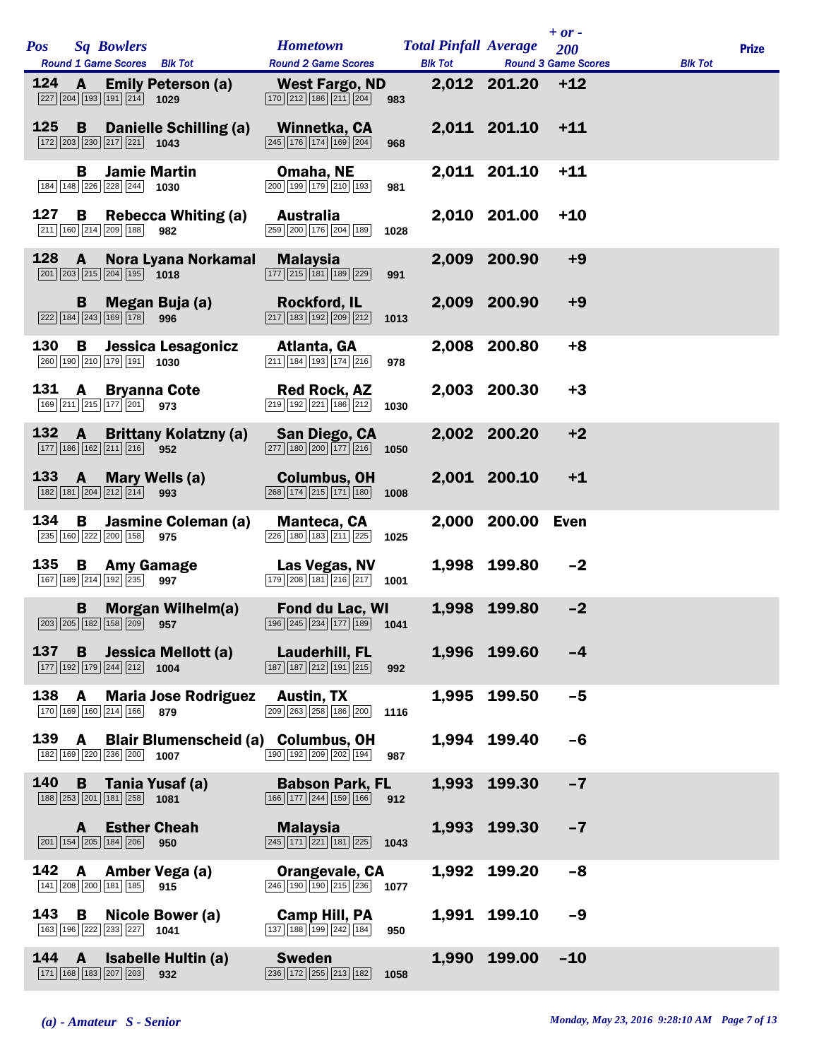| <b>Pos</b> |   | <b>Sq Bowlers</b>                                                                                  |                                                                                                                | <b>Hometown</b>                                                                                                        |      | <b>Total Pinfall Average</b> |                  | $+$ or $-$<br>200                  |                | <b>Prize</b> |
|------------|---|----------------------------------------------------------------------------------------------------|----------------------------------------------------------------------------------------------------------------|------------------------------------------------------------------------------------------------------------------------|------|------------------------------|------------------|------------------------------------|----------------|--------------|
|            |   | Round 1 Game Scores Blk Tot                                                                        |                                                                                                                | <b>Round 2 Game Scores</b>                                                                                             |      |                              |                  | <b>Blk Tot Round 3 Game Scores</b> | <b>Blk Tot</b> |              |
| 124        |   | 227 204 193 191 214 1029                                                                           | <b>A</b> Emily Peterson (a)                                                                                    | West Fargo, ND<br>$\boxed{170}$ $\boxed{212}$ $\boxed{186}$ $\boxed{211}$ $\boxed{204}$                                | 983  |                              | 2,012 201.20 +12 |                                    |                |              |
| 125        | B | 172 203 230 217 221 1043                                                                           | Danielle Schilling (a)                                                                                         | Winnetka, CA<br>$\boxed{245}$ $\boxed{176}$ $\boxed{174}$ $\boxed{169}$ $\boxed{204}$                                  | 968  |                              | 2,011 201.10     | $+11$                              |                |              |
|            | В | <b>Jamie Martin</b><br>184 148 226 228 244 1030                                                    |                                                                                                                | Omaha, NE<br>200 199 179 210 193                                                                                       | 981  |                              | 2,011 201.10     | $+11$                              |                |              |
| 127        | B | 211 160 214 209 188 982                                                                            | <b>Rebecca Whiting (a)</b>                                                                                     | <b>Australia</b><br>259 200 176 204 189                                                                                | 1028 |                              | 2,010 201.00     | $+10$                              |                |              |
| $128$ A    |   | $\boxed{201}$ $\boxed{203}$ $\boxed{215}$ $\boxed{204}$ $\boxed{195}$ <b>1018</b>                  | Nora Lyana Norkamal                                                                                            | <b>Malaysia</b><br>$\boxed{177}$ $\boxed{215}$ $\boxed{181}$ $\boxed{189}$ $\boxed{229}$                               | 991  |                              | 2,009 200.90     | $+9$                               |                |              |
|            |   | 222 184 243 169 178 996                                                                            | <b>B</b> Megan Buja (a)                                                                                        | <b>Rockford, IL</b><br>$\boxed{217}$ 183 192 209 212                                                                   | 1013 |                              | 2,009 200.90     | $+9$                               |                |              |
| 130        | В | 260 190 210 179 191 1030                                                                           | Jessica Lesagonicz                                                                                             | Atlanta, GA<br>211 184 193 174 216                                                                                     | 978  |                              | 2,008 200.80     | $+8$                               |                |              |
| 131 A      |   | 169 211 215 177 201 973                                                                            | <b>Bryanna Cote</b>                                                                                            | Red Rock, AZ<br>219 192 221 186 212                                                                                    | 1030 |                              | 2,003 200.30     | $+3$                               |                |              |
|            |   | 177 186 162 211 216 952                                                                            | 132 A Brittany Kolatzny (a)                                                                                    | San Diego, CA<br>$\boxed{277}$ 180 $\boxed{200}$ 177 $\boxed{216}$ 1050                                                |      |                              | 2,002 200.20     | $+2$                               |                |              |
| 133        |   | 182 181 204 212 214 993                                                                            | <b>A</b> Mary Wells (a)                                                                                        | <b>Columbus, OH</b><br>$\boxed{268}$ $\boxed{174}$ $\boxed{215}$ $\boxed{171}$ $\boxed{180}$                           | 1008 |                              | 2,001 200.10     | $+1$                               |                |              |
| 134        | B | 235 160 222 200 158 975                                                                            | Jasmine Coleman (a)                                                                                            | Manteca, CA<br>$\boxed{226}$ 180 183 211 225                                                                           | 1025 |                              | 2,000 200.00     | Even                               |                |              |
| 135        |   | <b>B</b> Amy Gamage<br>167 189 214 192 235 997                                                     |                                                                                                                | Las Vegas, NV<br>$\boxed{179}$ $\boxed{208}$ $\boxed{181}$ $\boxed{216}$ $\boxed{217}$ 1001                            |      |                              | 1,998 199.80     | $-2$                               |                |              |
|            |   |                                                                                                    | <b>B</b> Morgan Wilhelm(a)<br>$\boxed{203}$ $\boxed{205}$ $\boxed{182}$ $\boxed{158}$ $\boxed{209}$ <b>957</b> | Fond du Lac, WI<br>196 245 234 177 189 1041                                                                            |      |                              | 1,998 199.80     | $-2$                               |                |              |
|            |   | $\boxed{177}$ $\boxed{192}$ $\boxed{179}$ $\boxed{244}$ $\boxed{212}$ <b>1004</b>                  |                                                                                                                | 137 B Jessica Mellott (a) Lauderhill, FL<br>$\boxed{187}$ $\boxed{187}$ $\boxed{212}$ $\boxed{191}$ $\boxed{215}$ 992  |      |                              | 1,996 199.60     | $-4$                               |                |              |
| 138        |   | 170 169 160 214 166 879                                                                            | A Maria Jose Rodriguez Austin, TX                                                                              | $\boxed{209}$ $\boxed{263}$ $\boxed{258}$ $\boxed{186}$ $\boxed{200}$ 1116                                             |      |                              | 1,995 199.50     | $-5$                               |                |              |
|            |   | 182 169 220 236 200 1007                                                                           |                                                                                                                | 139 A Blair Blumenscheid (a) Columbus, OH<br>$\boxed{190}$ $\boxed{192}$ $\boxed{209}$ $\boxed{202}$ $\boxed{194}$ 987 |      |                              | 1,994 199.40     | $-6$                               |                |              |
|            |   | 188 253 201 181 258 1081                                                                           | 140 B Tania Yusaf (a)                                                                                          | <b>Babson Park, FL</b><br>166 177 244 159 166 912                                                                      |      |                              | 1,993 199.30     | $-7$                               |                |              |
|            |   | <b>A</b> Esther Cheah<br>$\boxed{201}$ $\boxed{154}$ $\boxed{205}$ $\boxed{184}$ $\boxed{206}$ 950 |                                                                                                                | Malaysia<br>$\boxed{245}$ $\boxed{171}$ $\boxed{221}$ $\boxed{181}$ $\boxed{225}$ <b>1043</b>                          |      |                              | 1,993 199.30     | $-7$                               |                |              |
| 142        |   | $\boxed{141}$ $\boxed{208}$ $\boxed{200}$ $\boxed{181}$ $\boxed{185}$ 915                          | A Amber Vega (a)                                                                                               | <b>Orangevale, CA</b><br>$\overline{246}$ 190 190 215 236 1077                                                         |      |                              | 1,992 199.20     | $-8$                               |                |              |
|            |   | $\boxed{163}$ $\boxed{196}$ $\boxed{222}$ $\boxed{233}$ $\boxed{227}$ <b>1041</b>                  | 143 B Nicole Bower (a)                                                                                         | Camp Hill, PA<br>$\boxed{137}$ $\boxed{188}$ $\boxed{199}$ $\boxed{242}$ $\boxed{184}$ 950                             |      |                              | 1,991 199.10     | $-9$                               |                |              |
|            |   | $\boxed{171}$ $\boxed{168}$ $\boxed{183}$ $\boxed{207}$ $\boxed{203}$ 932                          | 144 A Isabelle Hultin (a)                                                                                      | <b>Sweden</b><br>$\boxed{236}$ $\boxed{172}$ $\boxed{255}$ $\boxed{213}$ $\boxed{182}$ <b>1058</b>                     |      |                              | 1,990 199.00     | $-10$                              |                |              |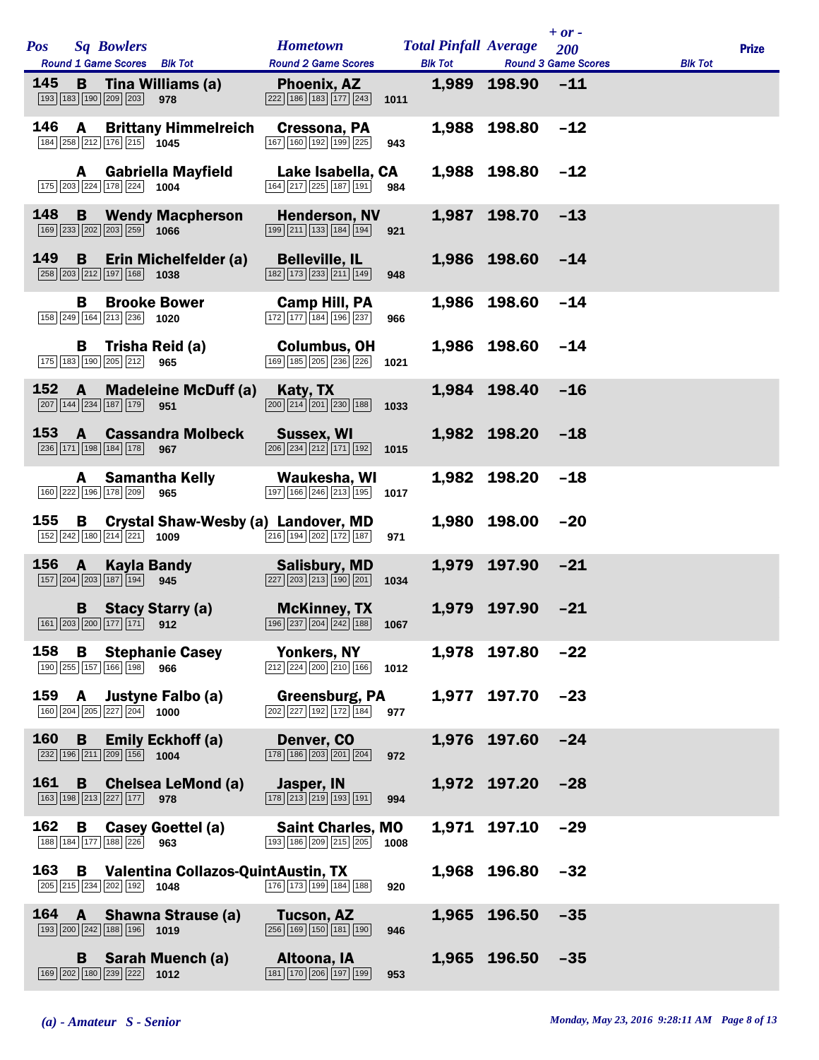| <b>Pos</b> |              | <b>Sq Bowlers</b>                                                                 |                                                                | <b>Hometown</b>                                                                                          |      | <b>Total Pinfall Average</b> |                        | $+$ or -<br>200            |                | <b>Prize</b> |
|------------|--------------|-----------------------------------------------------------------------------------|----------------------------------------------------------------|----------------------------------------------------------------------------------------------------------|------|------------------------------|------------------------|----------------------------|----------------|--------------|
|            |              | Round 1 Game Scores Blk Tot                                                       |                                                                | <b>Round 2 Game Scores</b>                                                                               |      | <b>Blk Tot</b>               |                        | <b>Round 3 Game Scores</b> | <b>Blk Tot</b> |              |
| 145        | в            | 193 183 190 209 203                                                               | Tina Williams (a)<br>978                                       | Phoenix, AZ<br>$\boxed{222}$ 186 183 177 243                                                             | 1011 |                              | 1,989 198.90           | $-11$                      |                |              |
| 146        | $\mathbf{A}$ | 184 258 212 176 215 1045                                                          | <b>Brittany Himmelreich</b>                                    | Cressona, PA<br>167 160 192 199 225                                                                      | 943  |                              | 1,988 198.80           | $-12$                      |                |              |
|            | A            | 175 203 224 178 224 1004                                                          | <b>Gabriella Mayfield</b>                                      | Lake Isabella, CA<br>164 217 225 187 191                                                                 | 984  |                              | 1,988 198.80           | $-12$                      |                |              |
| 148        | B.           | $\boxed{169}$ $\boxed{233}$ $\boxed{202}$ $\boxed{203}$ $\boxed{259}$ <b>1066</b> | <b>Wendy Macpherson</b>                                        | <b>Henderson, NV</b><br>$\boxed{199}$ $\boxed{211}$ $\boxed{133}$ $\boxed{184}$ $\boxed{194}$            | 921  |                              | 1,987 198.70           | $-13$                      |                |              |
| 149        | B            | 258 203 212 197 168 1038                                                          | Erin Michelfelder (a)                                          | <b>Belleville, IL</b><br>$\boxed{182}$ $\boxed{173}$ $\boxed{233}$ $\boxed{211}$ $\boxed{149}$           | 948  |                              | 1,986 198.60           | $-14$                      |                |              |
|            | В            | $\boxed{158}\boxed{249}\boxed{164}\boxed{213}\boxed{236}$ 1020                    | <b>Brooke Bower</b>                                            | Camp Hill, PA<br>$\boxed{172}$ $\boxed{177}$ $\boxed{184}$ $\boxed{196}$ $\boxed{237}$                   | 966  |                              | 1,986 198.60           | $-14$                      |                |              |
|            | B.           | 175 183 190 205 212                                                               | Trisha Reid (a)<br>965                                         | <b>Columbus, OH</b><br>169 185 205 236 226                                                               | 1021 |                              | 1,986 198.60           | $-14$                      |                |              |
| 152        | A            | 207 144 234 187 179                                                               | <b>Madeleine McDuff (a)</b><br>951                             | Katy, TX<br>$\boxed{200}$ $\boxed{214}$ $\boxed{201}$ $\boxed{230}$ $\boxed{188}$                        | 1033 |                              | 1,984 198.40           | $-16$                      |                |              |
|            |              | 236 171 198 184 178                                                               | 153 A Cassandra Molbeck<br>967                                 | <b>Sussex, WI</b><br>$\boxed{206}$ $\boxed{234}$ $\boxed{212}$ $\boxed{171}$ $\boxed{192}$               | 1015 |                              | 1,982 198.20           | $-18$                      |                |              |
|            |              | 160 222 196 178 209                                                               | <b>A</b> Samantha Kelly<br>965                                 | Waukesha, WI<br>$\boxed{197}$ $\boxed{166}$ $\boxed{246}$ $\boxed{213}$ $\boxed{195}$                    | 1017 |                              | 1,982 198.20           | $-18$                      |                |              |
| 155        |              | 152 242 180 214 221 1009                                                          |                                                                | <b>B</b> Crystal Shaw-Wesby (a) Landover, MD<br>$\boxed{216}$ 194 202 172 187                            | 971  |                              | 1,980 198.00           | $-20$                      |                |              |
| 156        | $\mathbf{A}$ | <b>Kayla Bandy</b><br>157 204 203 187 194 945                                     |                                                                | <b>Salisbury, MD</b><br>$\boxed{227}$ $\boxed{203}$ $\boxed{213}$ $\boxed{190}$ $\boxed{201}$            | 1034 |                              | 1,979 197.90           | $-21$                      |                |              |
|            |              |                                                                                   | <b>B</b> Stacy Starry (a)<br>$\boxed{161}$ 203 200 177 171 912 | <b>McKinney, TX</b><br>$\boxed{196}$ $\boxed{237}$ $\boxed{204}$ $\boxed{242}$ $\boxed{188}$ <b>1067</b> |      |                              | 1,979 197.90           | $-21$                      |                |              |
| 158        |              | 190 255 157 166 198 966                                                           | <b>B</b> Stephanie Casey                                       | Yonkers, NY<br>$\boxed{212}$ $\boxed{224}$ $\boxed{200}$ $\boxed{210}$ $\boxed{166}$ <b>1012</b>         |      |                              | 1,978 197.80 -22       |                            |                |              |
|            |              | $\boxed{160}$ $\boxed{204}$ $\boxed{205}$ $\boxed{227}$ $\boxed{204}$ <b>1000</b> | 159 A Justyne Falbo (a)                                        | <b>Greensburg, PA</b><br>$\boxed{202}$ $\boxed{227}$ $\boxed{192}$ $\boxed{172}$ $\boxed{184}$ 977       |      |                              | 1,977 197.70 -23       |                            |                |              |
|            |              | 232 196 211 209 156 1004                                                          | 160 B Emily Eckhoff (a)                                        | Denver, CO<br>$\boxed{178}$ $\boxed{186}$ $\boxed{203}$ $\boxed{201}$ $\boxed{204}$                      | 972  |                              | 1,976 197.60           | $-24$                      |                |              |
| 161        | B.           | 163 198 213 227 177 978                                                           | <b>Chelsea LeMond (a)</b>                                      | Jasper, IN<br>$\boxed{178}$ $\boxed{213}$ $\boxed{219}$ $\boxed{193}$ $\boxed{191}$                      | 994  |                              | 1,972 197.20 -28       |                            |                |              |
| 162        |              | 188 184 177 188 226 963                                                           | <b>B</b> Casey Goettel (a)                                     | <b>Saint Charles, MO</b><br>$\boxed{193}$ $\boxed{186}$ $\boxed{209}$ $\boxed{215}$ $\boxed{205}$ 1008   |      |                              | 1,971 197.10           | $-29$                      |                |              |
| 163        |              | 205 215 234 202 192 1048                                                          | <b>B</b> Valentina Collazos-QuintAustin, TX                    | 176 173 199 184 188                                                                                      | 920  |                              | 1,968 196.80 -32       |                            |                |              |
|            |              | 193 200 242 188 196 1019                                                          | 164 A Shawna Strause (a)                                       | Tucson, AZ<br>$\boxed{256}$ $\boxed{169}$ $\boxed{150}$ $\boxed{181}$ $\boxed{190}$                      | 946  |                              | 1,965 196.50           | $-35$                      |                |              |
|            |              | 169 202 180 239 222 1012                                                          | <b>B</b> Sarah Muench (a)                                      | Altoona, IA<br>$\boxed{181}$ $\boxed{170}$ $\boxed{206}$ $\boxed{197}$ $\boxed{199}$                     | 953  |                              | $1,965$ $196.50$ $-35$ |                            |                |              |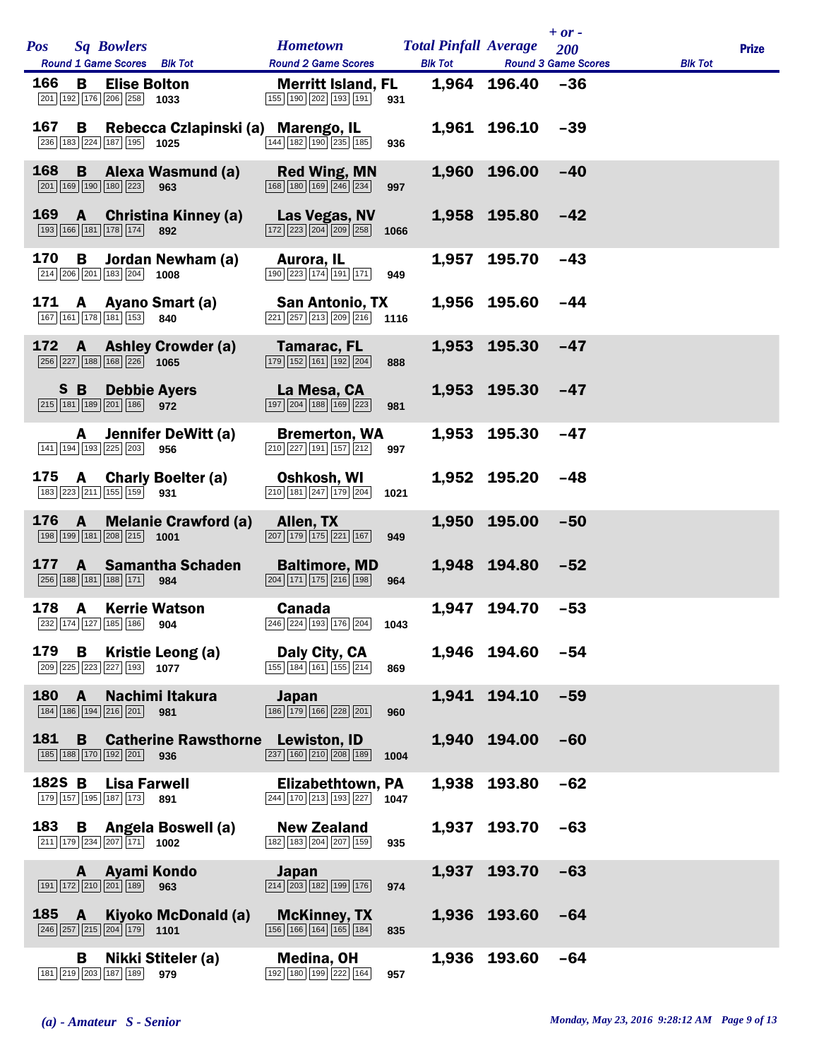| <b>Pos</b> |              | <b>Sq Bowlers</b>                                                                      |                                             | <b>Hometown</b>                                                                                      |      | <b>Total Pinfall Average</b> |                      | $+$ or $-$<br>200          |                | <b>Prize</b> |
|------------|--------------|----------------------------------------------------------------------------------------|---------------------------------------------|------------------------------------------------------------------------------------------------------|------|------------------------------|----------------------|----------------------------|----------------|--------------|
|            |              | Round 1 Game Scores Blk Tot                                                            |                                             | <b>Round 2 Game Scores</b>                                                                           |      | <b>Blk Tot</b>               |                      | <b>Round 3 Game Scores</b> | <b>Blk Tot</b> |              |
| 166        | В.           | <b>Elise Bolton</b><br>201 192 176 206 258                                             | 1033                                        | <b>Merritt Island, FL</b><br>155 190 202 193 191                                                     | 931  |                              | $1,964$ 196.40 $-36$ |                            |                |              |
| 167        |              | 236 183 224 187 195 1025                                                               | <b>B</b> Rebecca Czlapinski (a) Marengo, IL | 144 182 190 235 185                                                                                  | 936  |                              | 1,961 196.10         | $-39$                      |                |              |
| 168        | B            | 201 169 190 180 223                                                                    | <b>Alexa Wasmund (a)</b><br>963             | <b>Red Wing, MN</b><br>$\boxed{168}$ $\boxed{180}$ $\boxed{169}$ $\boxed{246}$ $\boxed{234}$         | 997  |                              | 1,960 196.00         | $-40$                      |                |              |
| 169        | $\mathbf{A}$ | 193 166 181 178 174 892                                                                | <b>Christina Kinney (a)</b>                 | Las Vegas, NV<br>$\boxed{172}$ $\boxed{223}$ $\boxed{204}$ $\boxed{209}$ $\boxed{258}$               | 1066 |                              | 1,958 195.80         | $-42$                      |                |              |
| 170        | В            | 214 206 201 183 204                                                                    | Jordan Newham (a)<br>1008                   | Aurora, IL<br>190 223 174 191 171                                                                    | 949  |                              | 1,957 195.70         | $-43$                      |                |              |
| 171        |              | 167 161 178 181 153                                                                    | A Ayano Smart (a)<br>840                    | <b>San Antonio, TX</b><br>$\boxed{221}$ $\boxed{257}$ $\boxed{213}$ $\boxed{209}$ $\boxed{216}$ 1116 |      |                              | 1,956 195.60         | -44                        |                |              |
| 172        |              | 256 227 188 168 226 1065                                                               | <b>A</b> Ashley Crowder (a)                 | Tamarac, FL<br>$\boxed{179}$ $\boxed{152}$ $\boxed{161}$ $\boxed{192}$ $\boxed{204}$                 | 888  |                              | 1,953 195.30         | $-47$                      |                |              |
|            | S B          | 215 181 189 201 186 972                                                                | <b>Debbie Ayers</b>                         | La Mesa, CA<br>197 204 188 169 223                                                                   | 981  |                              | 1,953 195.30         | $-47$                      |                |              |
|            | A            | 141 194 193 225 203                                                                    | Jennifer DeWitt (a)<br>956                  | <b>Bremerton, WA</b><br>$\boxed{210}$ $\boxed{227}$ 191 157 212                                      | 997  |                              | 1,953 195.30         | $-47$                      |                |              |
| 175        | $\mathsf{A}$ | 183 223 211 155 159 931                                                                | <b>Charly Boelter (a)</b>                   | Oshkosh, WI<br>$\boxed{210}$ $\boxed{181}$ $\boxed{247}$ $\boxed{179}$ $\boxed{204}$                 | 1021 |                              | 1,952 195.20         | $-48$                      |                |              |
| 176        | $\mathbf{A}$ | 198 199 181 208 215 1001                                                               | <b>Melanie Crawford (a)</b>                 | Allen, TX<br>$\boxed{207}$ $\boxed{179}$ $\boxed{175}$ $\boxed{221}$ $\boxed{167}$                   | 949  |                              | 1,950 195.00         | $-50$                      |                |              |
| 177        | $\mathbf{A}$ | 256 188 181 188 171                                                                    | <b>Samantha Schaden</b><br>984              | <b>Baltimore, MD</b><br>$\boxed{204}$ $\boxed{171}$ $\boxed{175}$ $\boxed{216}$ $\boxed{198}$        | 964  |                              | 1,948 194.80         | $-52$                      |                |              |
| 178        | A            | 232 174 127 185 186 904                                                                | <b>Kerrie Watson</b>                        | <b>Canada</b><br>246 224 193 176 204 1043                                                            |      |                              | 1,947 194.70         | $-53$                      |                |              |
| 179        | B            | 209 225 223 227 193 1077                                                               | Kristie Leong (a)                           | Daly City, CA<br>$\boxed{155}$ $\boxed{184}$ $\boxed{161}$ $\boxed{155}$ $\boxed{214}$               | 869  |                              | 1,946 194.60         | $-54$                      |                |              |
| 180        | $\mathbf{A}$ | 184 186 194 216 201 981                                                                | Nachimi Itakura                             | Japan<br>186 179 166 228 201                                                                         | 960  |                              | 1,941 194.10         | $-59$                      |                |              |
| 181        | B.           | 185 188 170 192 201 936                                                                | <b>Catherine Rawsthorne Lewiston, ID</b>    | $\overline{237}$ 160 210 208 189                                                                     | 1004 |                              | 1,940 194.00         | $-60$                      |                |              |
| 182S B     |              | Lisa Farwell<br>179 157 195 187 173 891                                                |                                             | Elizabethtown, PA<br>244 170 213 193 227 1047                                                        |      |                              | 1,938 193.80         | $-62$                      |                |              |
|            |              | $\boxed{211}$ 179 234 207 171 1002                                                     | 183 B Angela Boswell (a)                    | <b>New Zealand</b><br>182 183 204 207 159                                                            | 935  |                              | 1,937 193.70         | $-63$                      |                |              |
|            |              | A Ayami Kondo<br>$\boxed{191}$ $\boxed{172}$ $\boxed{210}$ $\boxed{201}$ $\boxed{189}$ | 963                                         | Japan<br>$\boxed{214}$ $\boxed{203}$ $\boxed{182}$ $\boxed{199}$ $\boxed{176}$                       | 974  |                              | 1,937 193.70         | $-63$                      |                |              |
|            | 185 A        | $\boxed{246}$ $\boxed{257}$ $\boxed{215}$ $\boxed{204}$ $\boxed{179}$ 1101             | Kiyoko McDonald (a)                         | <b>McKinney, TX</b><br>$\boxed{156}$ $\boxed{166}$ $\boxed{164}$ $\boxed{165}$ $\boxed{184}$         | 835  |                              | 1,936 193.60         | $-64$                      |                |              |
|            | B.           | 181 219 203 187 189                                                                    | Nikki Stiteler (a)<br>979                   | Medina, OH<br>192 180 199 222 164                                                                    | 957  |                              | 1,936 193.60         | $-64$                      |                |              |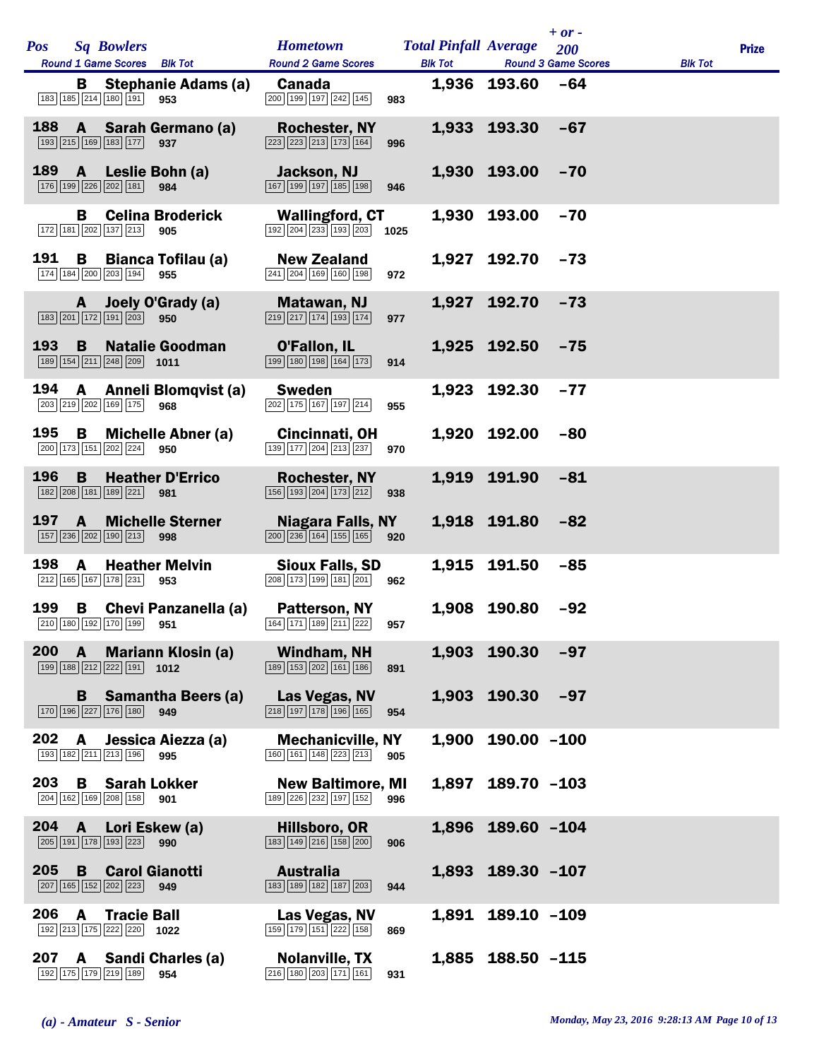| <b>Pos</b>    |              | <b>Sq Bowlers</b>                                                                                           | <b>Hometown</b>                                                                                             |     | <b>Total Pinfall Average</b> |                        | $+$ or $-$<br>200          |                | <b>Prize</b> |
|---------------|--------------|-------------------------------------------------------------------------------------------------------------|-------------------------------------------------------------------------------------------------------------|-----|------------------------------|------------------------|----------------------------|----------------|--------------|
|               |              | Round 1 Game Scores Blk Tot                                                                                 | <b>Round 2 Game Scores</b>                                                                                  |     | <b>Blk Tot</b>               |                        | <b>Round 3 Game Scores</b> | <b>Blk Tot</b> |              |
|               | B.           | <b>Stephanie Adams (a)</b><br>183 185 214 180 191<br>953                                                    | <b>Canada</b><br>200 199 197 242 145                                                                        | 983 |                              | 1,936 193.60           | $-64$                      |                |              |
| 188           | $\mathbf{A}$ | Sarah Germano (a)<br>193 215 169 183 177 937                                                                | <b>Rochester, NY</b><br>$\boxed{223}$ $\boxed{223}$ $\boxed{213}$ $\boxed{173}$ $\boxed{164}$               | 996 |                              | 1,933 193.30           | $-67$                      |                |              |
| 189           |              | A Leslie Bohn (a)<br>176 199 226 202 181<br>984                                                             | <b>Jackson, NJ</b><br>167 199 197 185 198                                                                   | 946 |                              | 1,930 193.00           | $-70$                      |                |              |
|               | В.           | <b>Celina Broderick</b><br>172 181 202 137 213 905                                                          | <b>Wallingford, CT</b><br>$\boxed{192}$ $\boxed{204}$ $\boxed{233}$ $\boxed{193}$ $\boxed{203}$ <b>1025</b> |     |                              | 1,930 193.00           | $-70$                      |                |              |
| 191           | B            | <b>Bianca Tofilau (a)</b><br>174 184 200 203 194<br>955                                                     | <b>New Zealand</b><br>$\boxed{241}$ $\boxed{204}$ $\boxed{169}$ $\boxed{160}$ $\boxed{198}$                 | 972 |                              | 1,927 192.70           | $-73$                      |                |              |
|               | A —          | Joely O'Grady (a)<br>183 201 172 191 203 950                                                                | Matawan, NJ<br>$\boxed{219}$ $\boxed{217}$ $\boxed{174}$ $\boxed{193}$ $\boxed{174}$                        | 977 |                              | 1,927 192.70           | $-73$                      |                |              |
| 193           | B.           | <b>Natalie Goodman</b><br>$\boxed{189}$ $\boxed{154}$ $\boxed{211}$ $\boxed{248}$ $\boxed{209}$ <b>1011</b> | <b>O'Fallon, IL</b><br>$\boxed{199}$ $\boxed{180}$ $\boxed{198}$ $\boxed{164}$ $\boxed{173}$                | 914 |                              | 1,925 192.50           | $-75$                      |                |              |
| 194           | A            | Anneli Blomqvist (a)<br>203 219 202 169 175<br>968                                                          | <b>Sweden</b><br>$\boxed{202}$ 175 167 197 214                                                              | 955 |                              | 1,923 192.30           | $-77$                      |                |              |
| 195           |              | <b>B</b> Michelle Abner (a)<br>200 173 151 202 224 950                                                      | Cincinnati, OH<br>$\boxed{139}$ $\boxed{177}$ $\boxed{204}$ $\boxed{213}$ $\boxed{237}$                     | 970 |                              | 1,920 192.00           | $-80$                      |                |              |
| 196           | B            | <b>Heather D'Errico</b><br>182 208 181 189 221 981                                                          | <b>Rochester, NY</b><br>156 193 204 173 212                                                                 | 938 |                              | 1,919 191.90           | $-81$                      |                |              |
| 197           | $\mathbf{A}$ | <b>Michelle Sterner</b><br>157 236 202 190 213 998                                                          | Niagara Falls, NY<br>$\boxed{200}$ $\boxed{236}$ $\boxed{164}$ $\boxed{155}$ $\boxed{165}$                  | 920 |                              | 1,918 191.80           | $-82$                      |                |              |
| 198           | A            | <b>Heather Melvin</b><br>212 165 167 178 231 953                                                            | <b>Sioux Falls, SD</b><br>208 173 199 181 201                                                               | 962 |                              | 1,915 191.50           | $-85$                      |                |              |
| 199           |              | <b>B</b> Chevi Panzanella (a)<br>210 180 192 170 199 951                                                    | Patterson, NY<br>164 171 189 211 222                                                                        | 957 |                              | 1,908 190.80           | $-92$                      |                |              |
| $200 \quad A$ |              | <b>Mariann Klosin (a)</b><br>199 188 212 222 191 1012                                                       | Windham, NH<br>$\boxed{189}$ $\boxed{153}$ $\boxed{202}$ $\boxed{161}$ $\boxed{186}$                        | 891 |                              | $1,903$ 190.30 -97     |                            |                |              |
|               |              | <b>B</b> Samantha Beers (a)<br>170 196 227 176 180<br>949                                                   | Las Vegas, NV<br>$\boxed{218}$ $\boxed{197}$ $\boxed{178}$ $\boxed{196}$ $\boxed{165}$                      | 954 |                              | $1,903$ $190.30$ $-97$ |                            |                |              |
| 202           | <b>A</b>     | Jessica Aiezza (a)<br>193 182 211 213 196<br>995                                                            | <b>Mechanicville, NY</b><br>160 161 148 223 213                                                             | 905 |                              | $1,900$ 190.00 $-100$  |                            |                |              |
| 203           | B.           | <b>Sarah Lokker</b><br>204 162 169 208 158 901                                                              | <b>New Baltimore, MI</b><br>189 226 232 197 152                                                             | 996 |                              | 1,897 189.70 -103      |                            |                |              |
|               |              | 204 A Lori Eskew (a)<br>205 191 178 193 223 990                                                             | Hillsboro, OR<br>$\boxed{183}$ $\boxed{149}$ $\boxed{216}$ $\boxed{158}$ $\boxed{200}$                      | 906 |                              | 1,896 189.60 -104      |                            |                |              |
| 205           | <b>B</b>     | <b>Carol Gianotti</b><br>207 165 152 202 223 949                                                            | Australia<br>183 189 182 187 203                                                                            | 944 |                              | 1,893 189.30 -107      |                            |                |              |
| 206           | <b>A</b>     | <b>Tracie Ball</b><br>192 213 175 222 220 1022                                                              | Las Vegas, NV<br>159 179 151 222 158                                                                        | 869 |                              | 1,891 189.10 -109      |                            |                |              |
| 207           |              | A Sandi Charles (a)<br>192 175 179 219 189 954                                                              | <b>Nolanville, TX</b><br>$\boxed{216}$ $\boxed{180}$ $\boxed{203}$ $\boxed{171}$ $\boxed{161}$              | 931 |                              | 1,885 188.50 -115      |                            |                |              |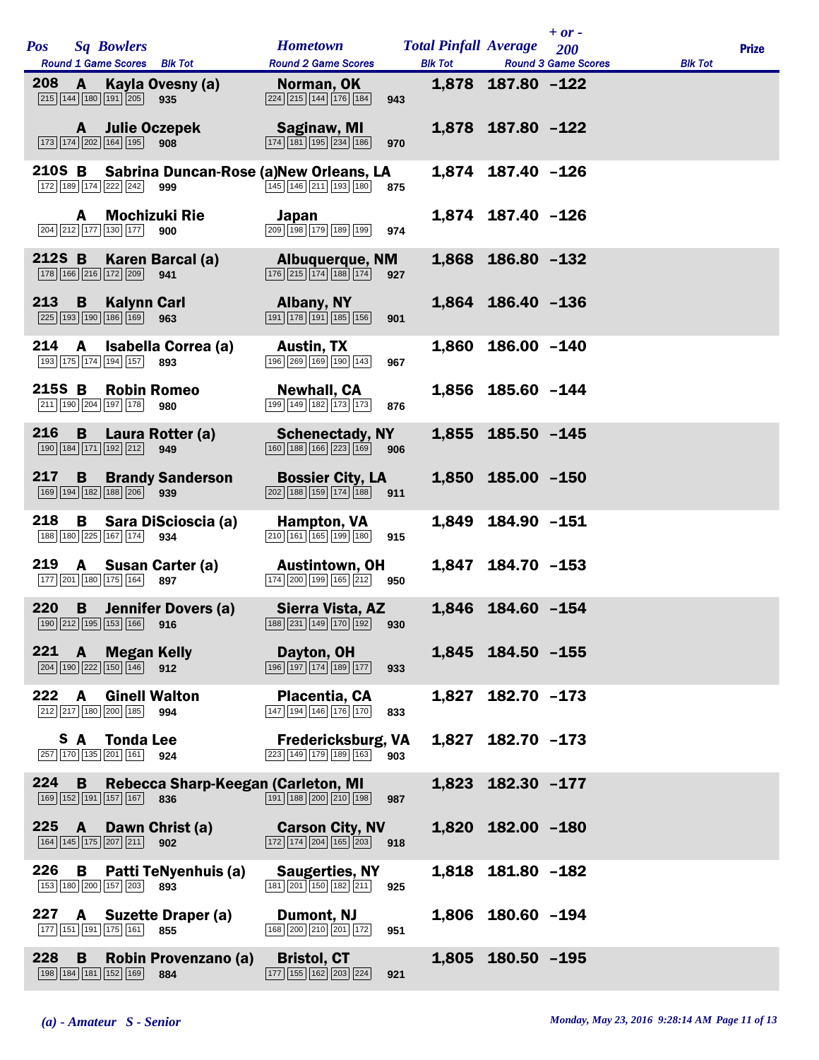|            |              |                                                                                                |                                    |                                                                                                                            |     |                                                |                   | $+$ or $-$                        |                |              |
|------------|--------------|------------------------------------------------------------------------------------------------|------------------------------------|----------------------------------------------------------------------------------------------------------------------------|-----|------------------------------------------------|-------------------|-----------------------------------|----------------|--------------|
| <b>Pos</b> |              | <b>Sq Bowlers</b><br>Round 1 Game Scores Blk Tot                                               |                                    | <b>Hometown</b><br><b>Round 2 Game Scores</b>                                                                              |     | <b>Total Pinfall Average</b><br><b>Blk Tot</b> |                   | 200<br><b>Round 3 Game Scores</b> |                | <b>Prize</b> |
| 208        | A            | $\boxed{215}$ $\boxed{144}$ $\boxed{180}$ $\boxed{191}$ $\boxed{205}$                          | Kayla Ovesny (a)<br>935            | Norman, OK<br>$\boxed{224}$ $\boxed{215}$ $\boxed{144}$ $\boxed{176}$ $\boxed{184}$                                        | 943 |                                                | 1,878 187.80 -122 |                                   | <b>Blk Tot</b> |              |
|            |              | A Julie Oczepek                                                                                |                                    | Saginaw, MI                                                                                                                |     |                                                | 1,878 187.80 -122 |                                   |                |              |
|            |              | 173 174 202 164 195 908                                                                        |                                    | $\boxed{174}$ $\boxed{181}$ $\boxed{195}$ $\boxed{234}$ $\boxed{186}$                                                      | 970 |                                                |                   |                                   |                |              |
|            |              | 172 189 174 222 242                                                                            | 999                                | 210S B Sabrina Duncan-Rose (a)New Orleans, LA<br>$\boxed{145}$ $\boxed{146}$ $\boxed{211}$ $\boxed{193}$ $\boxed{180}$ 875 |     |                                                | 1,874 187.40 -126 |                                   |                |              |
|            | A            | 204 212 177 130 177 900                                                                        | <b>Mochizuki Rie</b>               | Japan<br>$\boxed{209}$ $\boxed{198}$ $\boxed{179}$ $\boxed{189}$ $\boxed{199}$                                             | 974 |                                                | 1,874 187.40 -126 |                                   |                |              |
| 212S B     |              | 178 166 216 172 209                                                                            | Karen Barcal (a)<br>941            | <b>Albuquerque, NM</b><br>$\boxed{176}$ $\boxed{215}$ $\boxed{174}$ $\boxed{188}$ $\boxed{174}$                            | 927 |                                                | 1,868 186.80 -132 |                                   |                |              |
| 213        | B            | <b>Kalynn Carl</b><br>$\boxed{225}$ $\boxed{193}$ $\boxed{190}$ $\boxed{186}$ $\boxed{169}$    | 963                                | <b>Albany, NY</b><br>$\boxed{191}$ $\boxed{178}$ $\boxed{191}$ $\boxed{185}$ $\boxed{156}$                                 | 901 |                                                | 1,864 186.40 -136 |                                   |                |              |
| 214        | A            | 193 175 174 194 157                                                                            | Isabella Correa (a)<br>893         | <b>Austin, TX</b><br>196 269 169 190 143                                                                                   | 967 |                                                | 1,860 186.00 -140 |                                   |                |              |
| 215S B     |              | <b>Robin Romeo</b><br>211 190 204 197 178                                                      | 980                                | <b>Newhall, CA</b><br>199 149 182 173 173                                                                                  | 876 |                                                | 1,856 185.60 -144 |                                   |                |              |
| 216        | <b>B</b>     | 190 184 171 192 212                                                                            | Laura Rotter (a)<br>949            | <b>Schenectady, NY</b><br>$\boxed{160} \boxed{188} \boxed{166} \boxed{223} \boxed{169}$                                    | 906 |                                                | 1,855 185.50 -145 |                                   |                |              |
| 217        | B            | 169 194 182 188 206 939                                                                        | <b>Brandy Sanderson</b>            | <b>Bossier City, LA</b><br>$\boxed{202}$ 188 159 174 188 911                                                               |     |                                                | 1,850 185.00 -150 |                                   |                |              |
| 218        | B.           | 188 180 225 167 174 934                                                                        | Sara DiScioscia (a)                | Hampton, VA<br>$\boxed{210}$ 161 165 199 180                                                                               | 915 |                                                | 1,849 184.90 -151 |                                   |                |              |
| 219        |              | 177 201 180 175 164 897                                                                        | A Susan Carter (a)                 | <b>Austintown, OH</b><br>174 200 199 165 212 950                                                                           |     |                                                | 1,847 184.70 -153 |                                   |                |              |
| 220        |              | 190 212 195 153 166 916                                                                        | <b>B</b> Jennifer Dovers (a)       | Sierra Vista, AZ<br>188 231 149 170 192 930                                                                                |     |                                                | 1,846 184.60 -154 |                                   |                |              |
|            |              | 221 A Megan Kelly<br>$\boxed{204}$ $\boxed{190}$ $\boxed{222}$ $\boxed{150}$ $\boxed{146}$ 912 |                                    | Dayton, OH<br>$\boxed{196}$ $\boxed{197}$ $\boxed{174}$ $\boxed{189}$ $\boxed{177}$                                        | 933 |                                                | 1,845 184.50 -155 |                                   |                |              |
| 222        | $\mathbf{A}$ | <b>Ginell Walton</b><br>212 217 180 200 185 994                                                |                                    | <b>Placentia, CA</b><br>$\boxed{147}$ $\boxed{194}$ $\boxed{146}$ $\boxed{176}$ $\boxed{170}$                              | 833 |                                                | 1,827 182.70 -173 |                                   |                |              |
|            |              | <b>S</b> A Tonda Lee<br>257 170 135 201 161 924                                                |                                    | Fredericksburg, VA<br>$\sqrt{223}\sqrt{149}\sqrt{179}\sqrt{189}\sqrt{163}$                                                 | 903 |                                                | 1,827 182.70 -173 |                                   |                |              |
| $224$ B    |              | 169 152 191 157 167 836                                                                        | Rebecca Sharp-Keegan (Carleton, MI | $\boxed{191}$ $\boxed{188}$ $\boxed{200}$ $\boxed{210}$ $\boxed{198}$                                                      | 987 |                                                | 1,823 182.30 -177 |                                   |                |              |
|            |              | 164 145 175 207 211 902                                                                        | 225 A Dawn Christ (a)              | <b>Carson City, NV</b><br>$\boxed{172}$ $\boxed{174}$ $\boxed{204}$ $\boxed{165}$ $\boxed{203}$ 918                        |     |                                                | 1,820 182.00 -180 |                                   |                |              |
| 226        | B            | 153 180 200 157 203 893                                                                        | Patti TeNyenhuis (a)               | <b>Saugerties, NY</b><br>$\boxed{181}\boxed{201}\boxed{150}\boxed{182}\boxed{211}$                                         | 925 |                                                | 1,818 181.80 -182 |                                   |                |              |
|            |              | 177 151 191 175 161 855                                                                        | 227 A Suzette Draper (a)           | Dumont, NJ<br>168 200 210 201 172                                                                                          | 951 |                                                | 1,806 180.60 -194 |                                   |                |              |
| 228        | B            | 198 184 181 152 169 884                                                                        | Robin Provenzano (a)               | <b>Bristol, CT</b><br>$\boxed{177}$ $\boxed{155}$ $\boxed{162}$ $\boxed{203}$ $\boxed{224}$ 921                            |     |                                                | 1,805 180.50 -195 |                                   |                |              |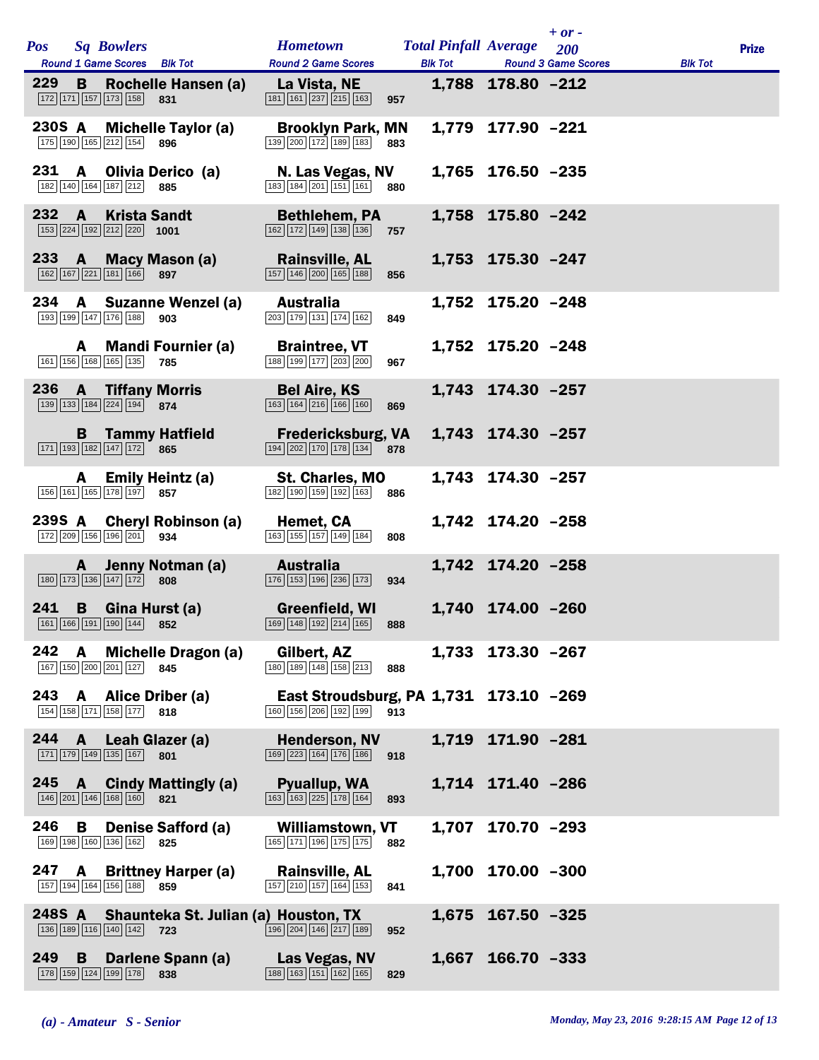|               |    |                                                                                                          | Hometown Total Pinfall Average 200                                                                       |     |                   | $+$ or -                           |                |              |
|---------------|----|----------------------------------------------------------------------------------------------------------|----------------------------------------------------------------------------------------------------------|-----|-------------------|------------------------------------|----------------|--------------|
| <b>Pos</b>    |    | <b>Sq Bowlers</b><br>Round 1 Game Scores Blk Tot                                                         | <b>Round 2 Game Scores</b>                                                                               |     |                   | <b>Blk Tot Round 3 Game Scores</b> | <b>Blk Tot</b> | <b>Prize</b> |
| 229           | B. | Rochelle Hansen (a)<br>$\boxed{172}$ $\boxed{171}$ $\boxed{157}$ $\boxed{173}$ $\boxed{158}$<br>831      | La Vista, NE<br>$\boxed{181}$ $\boxed{161}$ $\boxed{237}$ $\boxed{215}$ $\boxed{163}$                    | 957 | 1,788 178.80 -212 |                                    |                |              |
|               |    | 230S A Michelle Taylor (a)<br>175 190 165 212 154 896                                                    | <b>Brooklyn Park, MN</b><br>$\boxed{139}$ $\boxed{200}$ $\boxed{172}$ $\boxed{189}$ $\boxed{183}$        | 883 | 1,779 177.90 -221 |                                    |                |              |
| 231           |    | A Olivia Derico (a)<br>182 140 164 187 212 885                                                           | N. Las Vegas, NV<br>183 184 201 151 161 880                                                              |     | 1,765 176.50 -235 |                                    |                |              |
| $232 \quad A$ |    | <b>Krista Sandt</b><br>$\boxed{153}$ $\boxed{224}$ $\boxed{192}$ $\boxed{212}$ $\boxed{220}$ <b>1001</b> | <b>Bethlehem, PA</b><br>162 172 149 138 136 757                                                          |     | 1,758 175.80 -242 |                                    |                |              |
|               |    | 233 A Macy Mason (a)<br>162 167 221 181 166 897                                                          | <b>Rainsville, AL</b><br>$\boxed{157}$ $\boxed{146}$ $\boxed{200}$ $\boxed{165}$ $\boxed{188}$           | 856 | 1,753 175.30 -247 |                                    |                |              |
| 234           |    | A Suzanne Wenzel (a)<br>193 199 147 176 188<br>903                                                       | <b>Australia</b><br>$\boxed{203}$ 179 131 174 162                                                        | 849 | 1,752 175.20 -248 |                                    |                |              |
|               | A  | <b>Mandi Fournier (a)</b><br>161 156 168 165 135<br>785                                                  | <b>Braintree, VT</b><br>188 199 177 203 200                                                              | 967 | 1,752 175.20 -248 |                                    |                |              |
|               |    | 236 A Tiffany Morris<br>139 133 184 224 194 874                                                          | <b>Bel Aire, KS</b><br>$\boxed{163}$ $\boxed{164}$ $\boxed{216}$ $\boxed{166}$ $\boxed{160}$             | 869 | 1,743 174.30 -257 |                                    |                |              |
|               |    | <b>B</b> Tammy Hatfield<br>171 193 182 147 172 865                                                       | <b>Fredericksburg, VA</b><br>194 202 170 178 134 878                                                     |     | 1,743 174.30 -257 |                                    |                |              |
|               |    | A Emily Heintz (a)<br>156 161 165 178 197 857                                                            | <b>St. Charles, MO</b><br>182 190 159 192 163 886                                                        |     | 1,743 174.30 -257 |                                    |                |              |
|               |    | 239S A Cheryl Robinson (a)<br>172 209 156 196 201 934                                                    | Hemet, CA<br>$\boxed{163}$ $\boxed{155}$ $\boxed{157}$ $\boxed{149}$ $\boxed{184}$                       | 808 | 1,742 174.20 -258 |                                    |                |              |
|               |    | A Jenny Notman (a)<br>$\boxed{180}$ $\boxed{173}$ $\boxed{136}$ $\boxed{147}$ $\boxed{172}$<br>808       | Australia<br>176 153 196 236 173                                                                         | 934 | 1,742 174.20 -258 |                                    |                |              |
|               |    | 241 B Gina Hurst (a)<br>161 166 191 190 144 852                                                          | Greenfield, WI<br>169 148 192 214 165 888                                                                |     | 1,740 174.00 -260 |                                    |                |              |
| 242 A         |    | <b>Michelle Dragon (a)</b><br>167 150 200 201 127 845                                                    | Gilbert, AZ<br>180 189 148 158 213                                                                       | 888 | 1,733 173.30 -267 |                                    |                |              |
|               |    | 243 A Alice Driber (a)<br>154 158 171 158 177 818                                                        | East Stroudsburg, PA 1,731 173.10 -269<br>160 156 206 192 199 913                                        |     |                   |                                    |                |              |
|               |    | 244 A Leah Glazer (a)<br>171 179 149 135 167 801                                                         | <b>Henderson, NV</b><br>$\boxed{169}$ $\boxed{223}$ $\boxed{164}$ $\boxed{176}$ $\boxed{186}$ 918        |     | 1,719 171.90 -281 |                                    |                |              |
|               |    | 245 A Cindy Mattingly (a)<br>146 201 146 168 160 821                                                     | Pyuallup, WA<br>$\boxed{163}$ $\boxed{163}$ $\boxed{225}$ $\boxed{178}$ $\boxed{164}$                    | 893 | 1,714 171.40 -286 |                                    |                |              |
| 246           |    | <b>B</b> Denise Safford (a)<br>169 198 160 136 162 825                                                   | <b>Williamstown, VT</b><br>$\boxed{165}$ $\boxed{171}$ $\boxed{196}$ $\boxed{175}$ $\boxed{175}$         | 882 | 1,707 170.70 -293 |                                    |                |              |
|               |    | 247 A Brittney Harper (a)<br>157 194 164 156 188 859                                                     | <b>Rainsville, AL</b><br>157 210 157 164 153                                                             | 841 | 1,700 170.00 -300 |                                    |                |              |
|               |    | 248S A Shaunteka St. Julian (a) Houston, TX<br>136 189 116 140 142 723                                   | $\boxed{196}$ $\boxed{204}$ $\boxed{146}$ $\boxed{217}$ $\boxed{189}$                                    | 952 | 1,675 167.50 -325 |                                    |                |              |
| 249           | B. | Darlene Spann (a)<br>178 159 124 199 178 838                                                             | <b>Example 12</b> Las Vegas, NV<br>$\boxed{188}$ $\boxed{163}$ $\boxed{151}$ $\boxed{162}$ $\boxed{165}$ | 829 | 1,667 166.70 -333 |                                    |                |              |